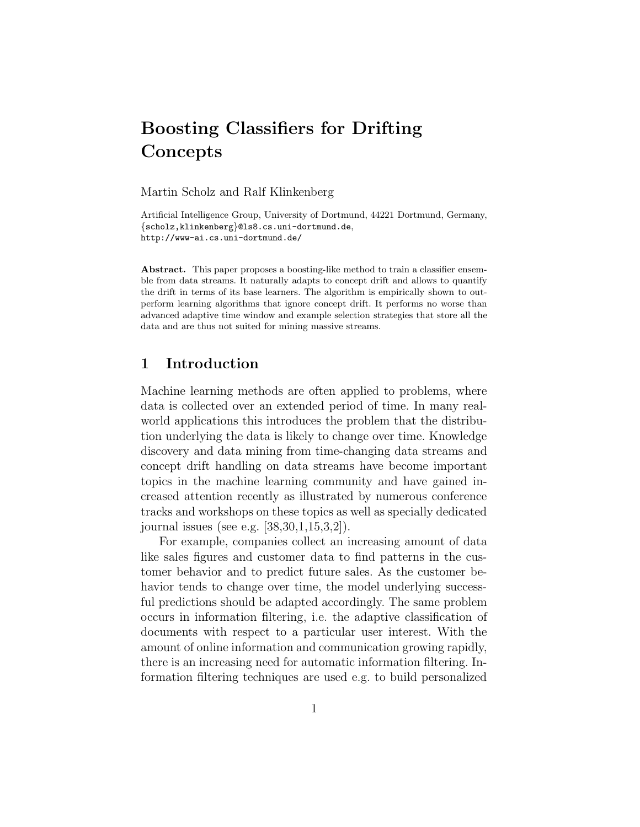# Boosting Classifiers for Drifting **Concepts**

Martin Scholz and Ralf Klinkenberg

Artificial Intelligence Group, University of Dortmund, 44221 Dortmund, Germany, {scholz,klinkenberg}@ls8.cs.uni-dortmund.de, http://www-ai.cs.uni-dortmund.de/

Abstract. This paper proposes a boosting-like method to train a classifier ensemble from data streams. It naturally adapts to concept drift and allows to quantify the drift in terms of its base learners. The algorithm is empirically shown to outperform learning algorithms that ignore concept drift. It performs no worse than advanced adaptive time window and example selection strategies that store all the data and are thus not suited for mining massive streams.

## 1 Introduction

Machine learning methods are often applied to problems, where data is collected over an extended period of time. In many realworld applications this introduces the problem that the distribution underlying the data is likely to change over time. Knowledge discovery and data mining from time-changing data streams and concept drift handling on data streams have become important topics in the machine learning community and have gained increased attention recently as illustrated by numerous conference tracks and workshops on these topics as well as specially dedicated journal issues (see e.g. [38,30,1,15,3,2]).

For example, companies collect an increasing amount of data like sales figures and customer data to find patterns in the customer behavior and to predict future sales. As the customer behavior tends to change over time, the model underlying successful predictions should be adapted accordingly. The same problem occurs in information filtering, i.e. the adaptive classification of documents with respect to a particular user interest. With the amount of online information and communication growing rapidly, there is an increasing need for automatic information filtering. Information filtering techniques are used e.g. to build personalized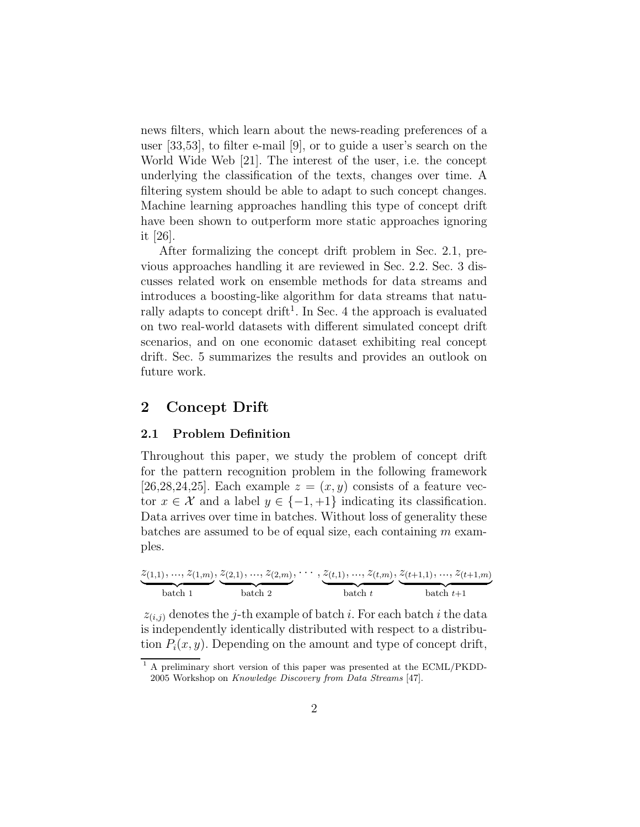news filters, which learn about the news-reading preferences of a user [33,53], to filter e-mail [9], or to guide a user's search on the World Wide Web [21]. The interest of the user, i.e. the concept underlying the classification of the texts, changes over time. A filtering system should be able to adapt to such concept changes. Machine learning approaches handling this type of concept drift have been shown to outperform more static approaches ignoring it [26].

After formalizing the concept drift problem in Sec. 2.1, previous approaches handling it are reviewed in Sec. 2.2. Sec. 3 discusses related work on ensemble methods for data streams and introduces a boosting-like algorithm for data streams that naturally adapts to concept drift<sup>1</sup>. In Sec. 4 the approach is evaluated on two real-world datasets with different simulated concept drift scenarios, and on one economic dataset exhibiting real concept drift. Sec. 5 summarizes the results and provides an outlook on future work.

## 2 Concept Drift

#### 2.1 Problem Definition

Throughout this paper, we study the problem of concept drift for the pattern recognition problem in the following framework [26,28,24,25]. Each example  $z = (x, y)$  consists of a feature vector  $x \in \mathcal{X}$  and a label  $y \in \{-1, +1\}$  indicating its classification. Data arrives over time in batches. Without loss of generality these batches are assumed to be of equal size, each containing  $m$  examples.

$$
\underbrace{z_{(1,1)},\ldots,z_{(1,m)}}_{\text{batch 1}},\underbrace{z_{(2,1)},\ldots,z_{(2,m)}}_{\text{batch 2}},\cdots,\underbrace{z_{(t,1)},\ldots,z_{(t,m)}}_{\text{batch }t},\underbrace{z_{(t+1,1)},\ldots,z_{(t+1,m)}}_{\text{batch }t+1}
$$

 $z_{(i,j)}$  denotes the j-th example of batch i. For each batch i the data is independently identically distributed with respect to a distribution  $P_i(x, y)$ . Depending on the amount and type of concept drift,

<sup>1</sup> A preliminary short version of this paper was presented at the ECML/PKDD-2005 Workshop on Knowledge Discovery from Data Streams [47].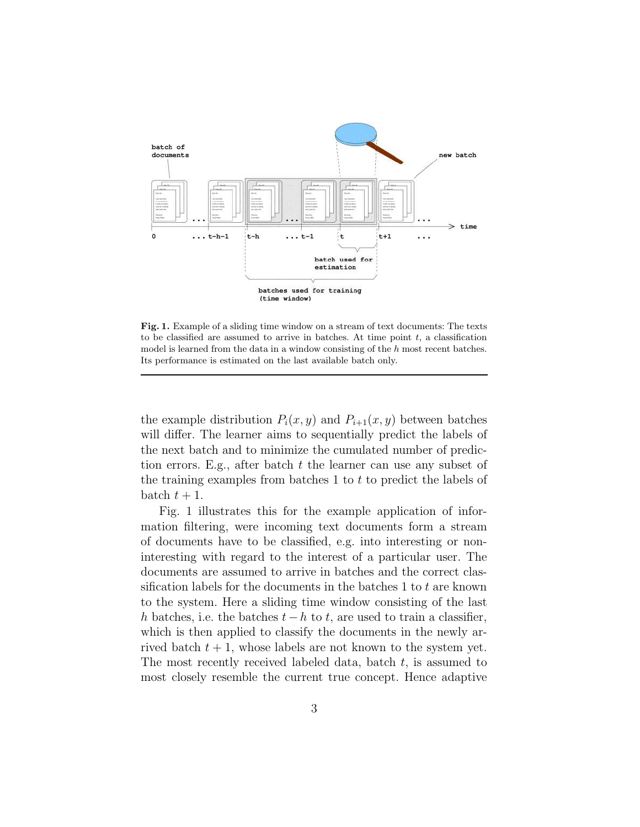

Fig. 1. Example of a sliding time window on a stream of text documents: The texts to be classified are assumed to arrive in batches. At time point  $t$ , a classification model is learned from the data in a window consisting of the  $h$  most recent batches. Its performance is estimated on the last available batch only.

the example distribution  $P_i(x, y)$  and  $P_{i+1}(x, y)$  between batches will differ. The learner aims to sequentially predict the labels of the next batch and to minimize the cumulated number of prediction errors. E.g., after batch  $t$  the learner can use any subset of the training examples from batches 1 to  $t$  to predict the labels of batch  $t + 1$ .

Fig. 1 illustrates this for the example application of information filtering, were incoming text documents form a stream of documents have to be classified, e.g. into interesting or noninteresting with regard to the interest of a particular user. The documents are assumed to arrive in batches and the correct classification labels for the documents in the batches 1 to  $t$  are known to the system. Here a sliding time window consisting of the last h batches, i.e. the batches  $t - h$  to t, are used to train a classifier, which is then applied to classify the documents in the newly arrived batch  $t + 1$ , whose labels are not known to the system yet. The most recently received labeled data, batch  $t$ , is assumed to most closely resemble the current true concept. Hence adaptive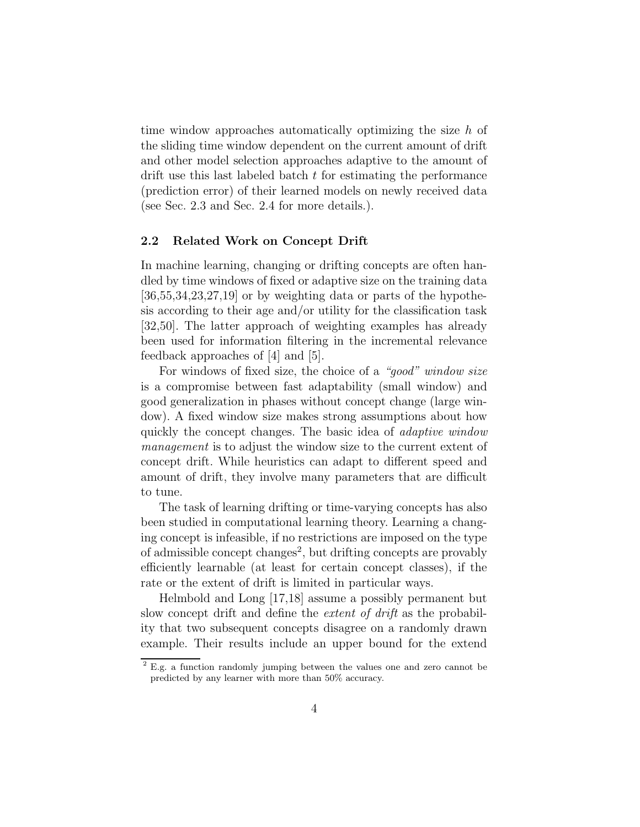time window approaches automatically optimizing the size h of the sliding time window dependent on the current amount of drift and other model selection approaches adaptive to the amount of drift use this last labeled batch t for estimating the performance (prediction error) of their learned models on newly received data (see Sec. 2.3 and Sec. 2.4 for more details.).

#### 2.2 Related Work on Concept Drift

In machine learning, changing or drifting concepts are often handled by time windows of fixed or adaptive size on the training data  $[36,55,34,23,27,19]$  or by weighting data or parts of the hypothesis according to their age and/or utility for the classification task [32,50]. The latter approach of weighting examples has already been used for information filtering in the incremental relevance feedback approaches of [4] and [5].

For windows of fixed size, the choice of a "*good*" window size is a compromise between fast adaptability (small window) and good generalization in phases without concept change (large window). A fixed window size makes strong assumptions about how quickly the concept changes. The basic idea of *adaptive window* management is to adjust the window size to the current extent of concept drift. While heuristics can adapt to different speed and amount of drift, they involve many parameters that are difficult to tune.

The task of learning drifting or time-varying concepts has also been studied in computational learning theory. Learning a changing concept is infeasible, if no restrictions are imposed on the type of admissible concept changes<sup>2</sup>, but drifting concepts are provably efficiently learnable (at least for certain concept classes), if the rate or the extent of drift is limited in particular ways.

Helmbold and Long [17,18] assume a possibly permanent but slow concept drift and define the *extent of drift* as the probability that two subsequent concepts disagree on a randomly drawn example. Their results include an upper bound for the extend

<sup>&</sup>lt;sup>2</sup> E.g. a function randomly jumping between the values one and zero cannot be predicted by any learner with more than 50% accuracy.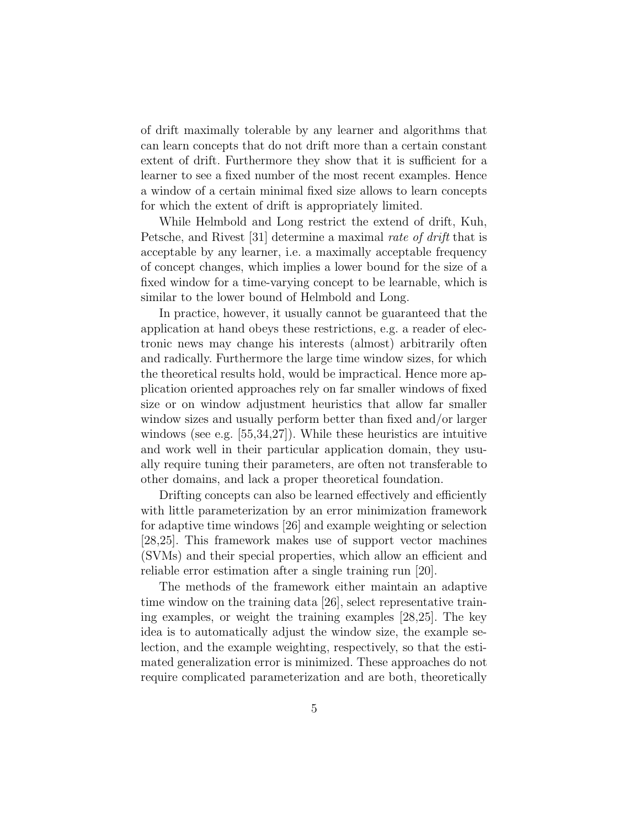of drift maximally tolerable by any learner and algorithms that can learn concepts that do not drift more than a certain constant extent of drift. Furthermore they show that it is sufficient for a learner to see a fixed number of the most recent examples. Hence a window of a certain minimal fixed size allows to learn concepts for which the extent of drift is appropriately limited.

While Helmbold and Long restrict the extend of drift, Kuh, Petsche, and Rivest [31] determine a maximal rate of drift that is acceptable by any learner, i.e. a maximally acceptable frequency of concept changes, which implies a lower bound for the size of a fixed window for a time-varying concept to be learnable, which is similar to the lower bound of Helmbold and Long.

In practice, however, it usually cannot be guaranteed that the application at hand obeys these restrictions, e.g. a reader of electronic news may change his interests (almost) arbitrarily often and radically. Furthermore the large time window sizes, for which the theoretical results hold, would be impractical. Hence more application oriented approaches rely on far smaller windows of fixed size or on window adjustment heuristics that allow far smaller window sizes and usually perform better than fixed and/or larger windows (see e.g. [55,34,27]). While these heuristics are intuitive and work well in their particular application domain, they usually require tuning their parameters, are often not transferable to other domains, and lack a proper theoretical foundation.

Drifting concepts can also be learned effectively and efficiently with little parameterization by an error minimization framework for adaptive time windows [26] and example weighting or selection [28,25]. This framework makes use of support vector machines (SVMs) and their special properties, which allow an efficient and reliable error estimation after a single training run [20].

The methods of the framework either maintain an adaptive time window on the training data [26], select representative training examples, or weight the training examples [28,25]. The key idea is to automatically adjust the window size, the example selection, and the example weighting, respectively, so that the estimated generalization error is minimized. These approaches do not require complicated parameterization and are both, theoretically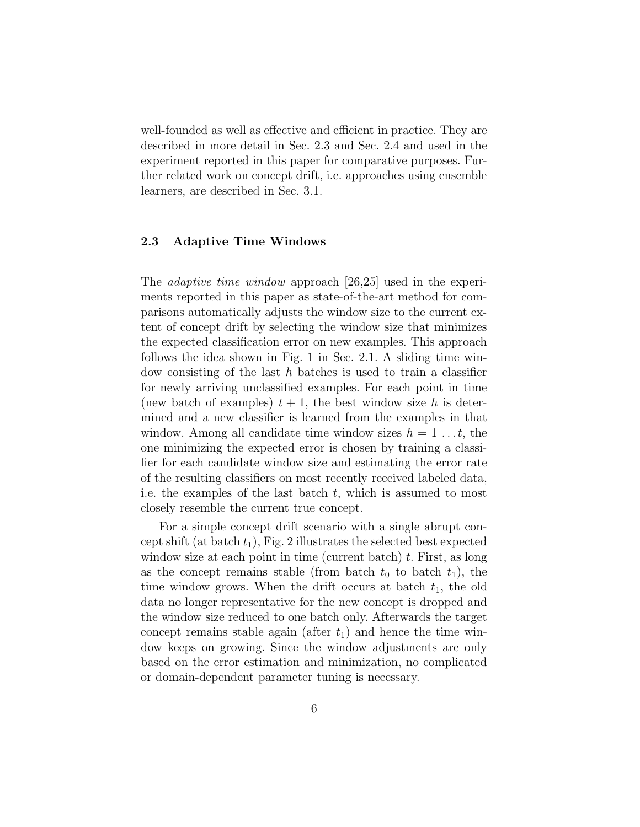well-founded as well as effective and efficient in practice. They are described in more detail in Sec. 2.3 and Sec. 2.4 and used in the experiment reported in this paper for comparative purposes. Further related work on concept drift, i.e. approaches using ensemble learners, are described in Sec. 3.1.

#### 2.3 Adaptive Time Windows

The *adaptive time window* approach [26,25] used in the experiments reported in this paper as state-of-the-art method for comparisons automatically adjusts the window size to the current extent of concept drift by selecting the window size that minimizes the expected classification error on new examples. This approach follows the idea shown in Fig. 1 in Sec. 2.1. A sliding time window consisting of the last  $h$  batches is used to train a classifier for newly arriving unclassified examples. For each point in time (new batch of examples)  $t + 1$ , the best window size h is determined and a new classifier is learned from the examples in that window. Among all candidate time window sizes  $h = 1 \ldots t$ , the one minimizing the expected error is chosen by training a classifier for each candidate window size and estimating the error rate of the resulting classifiers on most recently received labeled data, i.e. the examples of the last batch  $t$ , which is assumed to most closely resemble the current true concept.

For a simple concept drift scenario with a single abrupt concept shift (at batch  $t_1$ ), Fig. 2 illustrates the selected best expected window size at each point in time (current batch)  $t$ . First, as long as the concept remains stable (from batch  $t_0$  to batch  $t_1$ ), the time window grows. When the drift occurs at batch  $t_1$ , the old data no longer representative for the new concept is dropped and the window size reduced to one batch only. Afterwards the target concept remains stable again (after  $t_1$ ) and hence the time window keeps on growing. Since the window adjustments are only based on the error estimation and minimization, no complicated or domain-dependent parameter tuning is necessary.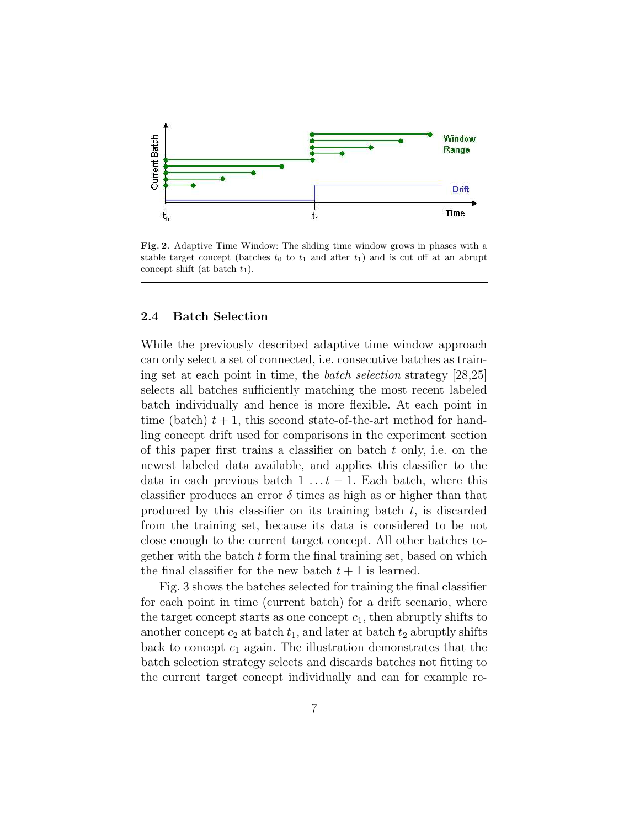

Fig. 2. Adaptive Time Window: The sliding time window grows in phases with a stable target concept (batches  $t_0$  to  $t_1$  and after  $t_1$ ) and is cut off at an abrupt concept shift (at batch  $t_1$ ).

#### 2.4 Batch Selection

While the previously described adaptive time window approach can only select a set of connected, i.e. consecutive batches as training set at each point in time, the batch selection strategy [28,25] selects all batches sufficiently matching the most recent labeled batch individually and hence is more flexible. At each point in time (batch)  $t + 1$ , this second state-of-the-art method for handling concept drift used for comparisons in the experiment section of this paper first trains a classifier on batch  $t$  only, i.e. on the newest labeled data available, and applies this classifier to the data in each previous batch  $1 \ldots t-1$ . Each batch, where this classifier produces an error  $\delta$  times as high as or higher than that produced by this classifier on its training batch  $t$ , is discarded from the training set, because its data is considered to be not close enough to the current target concept. All other batches together with the batch  $t$  form the final training set, based on which the final classifier for the new batch  $t + 1$  is learned.

Fig. 3 shows the batches selected for training the final classifier for each point in time (current batch) for a drift scenario, where the target concept starts as one concept  $c_1$ , then abruptly shifts to another concept  $c_2$  at batch  $t_1$ , and later at batch  $t_2$  abruptly shifts back to concept  $c_1$  again. The illustration demonstrates that the batch selection strategy selects and discards batches not fitting to the current target concept individually and can for example re-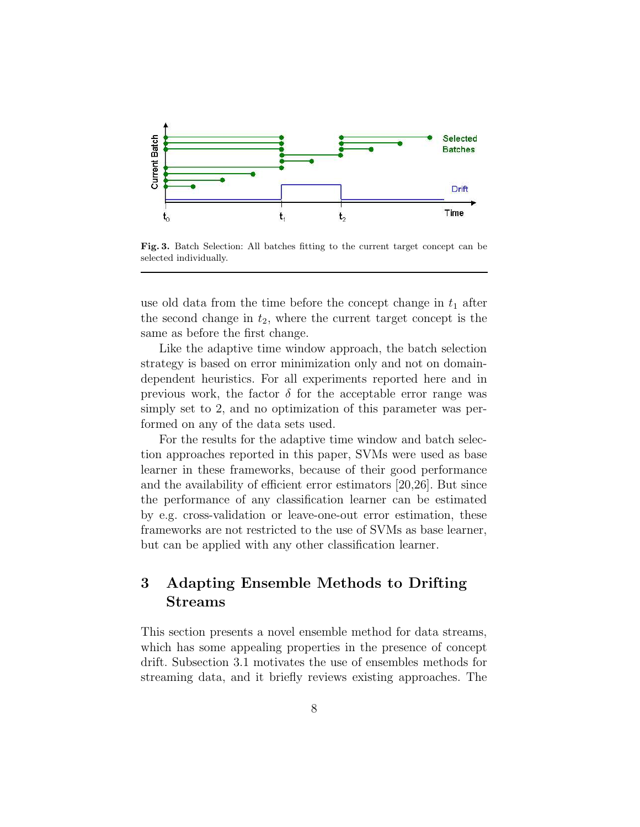

Fig. 3. Batch Selection: All batches fitting to the current target concept can be selected individually.

use old data from the time before the concept change in  $t_1$  after the second change in  $t_2$ , where the current target concept is the same as before the first change.

Like the adaptive time window approach, the batch selection strategy is based on error minimization only and not on domaindependent heuristics. For all experiments reported here and in previous work, the factor  $\delta$  for the acceptable error range was simply set to 2, and no optimization of this parameter was performed on any of the data sets used.

For the results for the adaptive time window and batch selection approaches reported in this paper, SVMs were used as base learner in these frameworks, because of their good performance and the availability of efficient error estimators [20,26]. But since the performance of any classification learner can be estimated by e.g. cross-validation or leave-one-out error estimation, these frameworks are not restricted to the use of SVMs as base learner, but can be applied with any other classification learner.

## 3 Adapting Ensemble Methods to Drifting Streams

This section presents a novel ensemble method for data streams, which has some appealing properties in the presence of concept drift. Subsection 3.1 motivates the use of ensembles methods for streaming data, and it briefly reviews existing approaches. The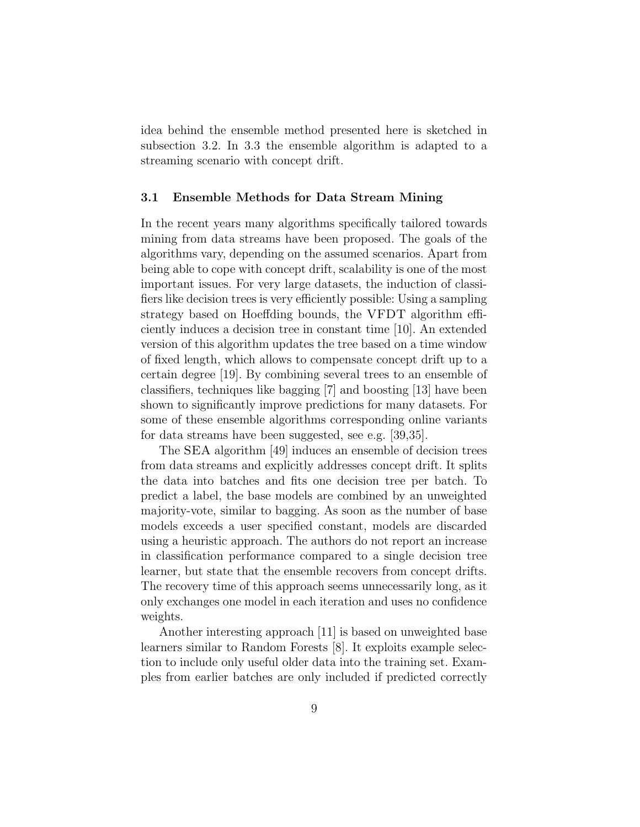idea behind the ensemble method presented here is sketched in subsection 3.2. In 3.3 the ensemble algorithm is adapted to a streaming scenario with concept drift.

#### 3.1 Ensemble Methods for Data Stream Mining

In the recent years many algorithms specifically tailored towards mining from data streams have been proposed. The goals of the algorithms vary, depending on the assumed scenarios. Apart from being able to cope with concept drift, scalability is one of the most important issues. For very large datasets, the induction of classifiers like decision trees is very efficiently possible: Using a sampling strategy based on Hoeffding bounds, the VFDT algorithm efficiently induces a decision tree in constant time [10]. An extended version of this algorithm updates the tree based on a time window of fixed length, which allows to compensate concept drift up to a certain degree [19]. By combining several trees to an ensemble of classifiers, techniques like bagging [7] and boosting [13] have been shown to significantly improve predictions for many datasets. For some of these ensemble algorithms corresponding online variants for data streams have been suggested, see e.g. [39,35].

The SEA algorithm [49] induces an ensemble of decision trees from data streams and explicitly addresses concept drift. It splits the data into batches and fits one decision tree per batch. To predict a label, the base models are combined by an unweighted majority-vote, similar to bagging. As soon as the number of base models exceeds a user specified constant, models are discarded using a heuristic approach. The authors do not report an increase in classification performance compared to a single decision tree learner, but state that the ensemble recovers from concept drifts. The recovery time of this approach seems unnecessarily long, as it only exchanges one model in each iteration and uses no confidence weights.

Another interesting approach [11] is based on unweighted base learners similar to Random Forests [8]. It exploits example selection to include only useful older data into the training set. Examples from earlier batches are only included if predicted correctly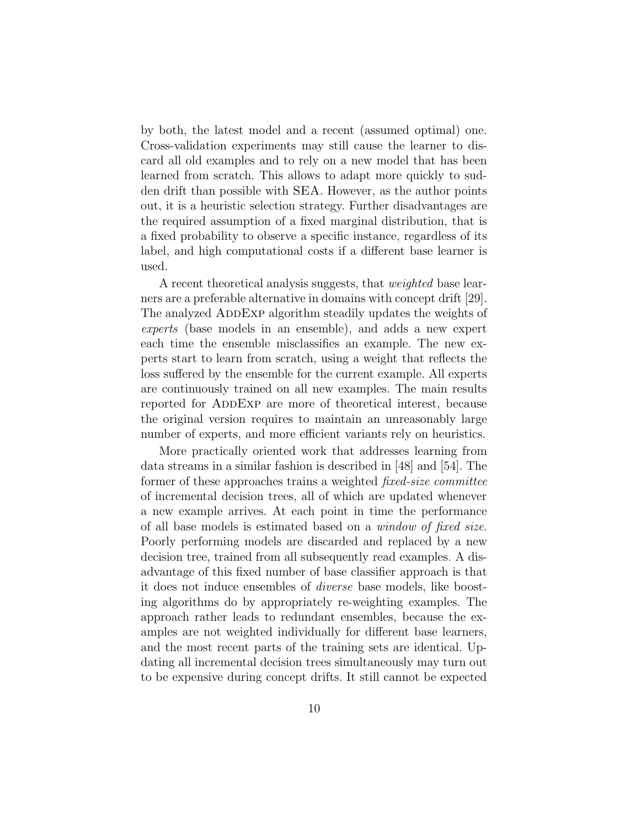by both, the latest model and a recent (assumed optimal) one. Cross-validation experiments may still cause the learner to discard all old examples and to rely on a new model that has been learned from scratch. This allows to adapt more quickly to sudden drift than possible with SEA. However, as the author points out, it is a heuristic selection strategy. Further disadvantages are the required assumption of a fixed marginal distribution, that is a fixed probability to observe a specific instance, regardless of its label, and high computational costs if a different base learner is used.

A recent theoretical analysis suggests, that weighted base learners are a preferable alternative in domains with concept drift [29]. The analyzed ADDEXP algorithm steadily updates the weights of experts (base models in an ensemble), and adds a new expert each time the ensemble misclassifies an example. The new experts start to learn from scratch, using a weight that reflects the loss suffered by the ensemble for the current example. All experts are continuously trained on all new examples. The main results reported for ADDEXP are more of theoretical interest, because the original version requires to maintain an unreasonably large number of experts, and more efficient variants rely on heuristics.

More practically oriented work that addresses learning from data streams in a similar fashion is described in [48] and [54]. The former of these approaches trains a weighted *fixed-size committee* of incremental decision trees, all of which are updated whenever a new example arrives. At each point in time the performance of all base models is estimated based on a window of fixed size. Poorly performing models are discarded and replaced by a new decision tree, trained from all subsequently read examples. A disadvantage of this fixed number of base classifier approach is that it does not induce ensembles of diverse base models, like boosting algorithms do by appropriately re-weighting examples. The approach rather leads to redundant ensembles, because the examples are not weighted individually for different base learners, and the most recent parts of the training sets are identical. Updating all incremental decision trees simultaneously may turn out to be expensive during concept drifts. It still cannot be expected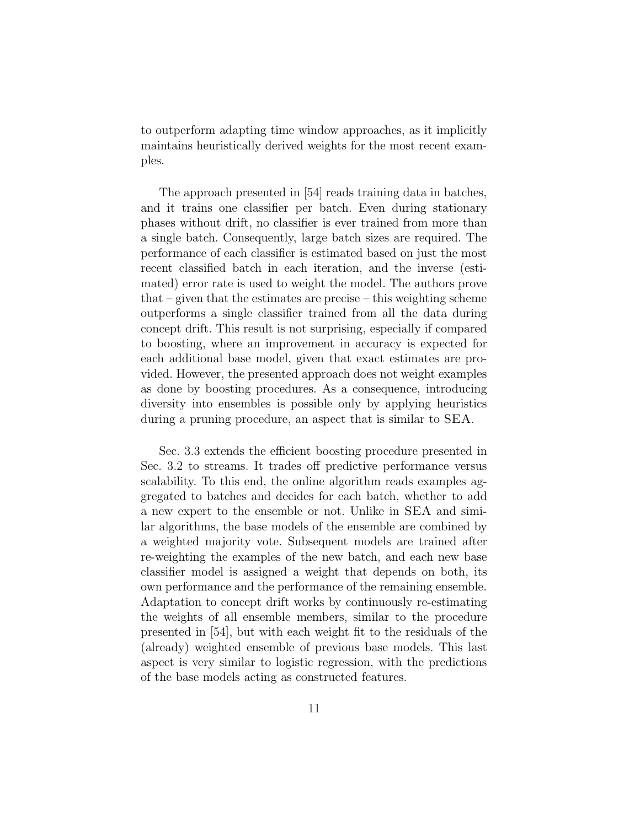to outperform adapting time window approaches, as it implicitly maintains heuristically derived weights for the most recent examples.

The approach presented in [54] reads training data in batches, and it trains one classifier per batch. Even during stationary phases without drift, no classifier is ever trained from more than a single batch. Consequently, large batch sizes are required. The performance of each classifier is estimated based on just the most recent classified batch in each iteration, and the inverse (estimated) error rate is used to weight the model. The authors prove that – given that the estimates are precise – this weighting scheme outperforms a single classifier trained from all the data during concept drift. This result is not surprising, especially if compared to boosting, where an improvement in accuracy is expected for each additional base model, given that exact estimates are provided. However, the presented approach does not weight examples as done by boosting procedures. As a consequence, introducing diversity into ensembles is possible only by applying heuristics during a pruning procedure, an aspect that is similar to SEA.

Sec. 3.3 extends the efficient boosting procedure presented in Sec. 3.2 to streams. It trades off predictive performance versus scalability. To this end, the online algorithm reads examples aggregated to batches and decides for each batch, whether to add a new expert to the ensemble or not. Unlike in SEA and similar algorithms, the base models of the ensemble are combined by a weighted majority vote. Subsequent models are trained after re-weighting the examples of the new batch, and each new base classifier model is assigned a weight that depends on both, its own performance and the performance of the remaining ensemble. Adaptation to concept drift works by continuously re-estimating the weights of all ensemble members, similar to the procedure presented in [54], but with each weight fit to the residuals of the (already) weighted ensemble of previous base models. This last aspect is very similar to logistic regression, with the predictions of the base models acting as constructed features.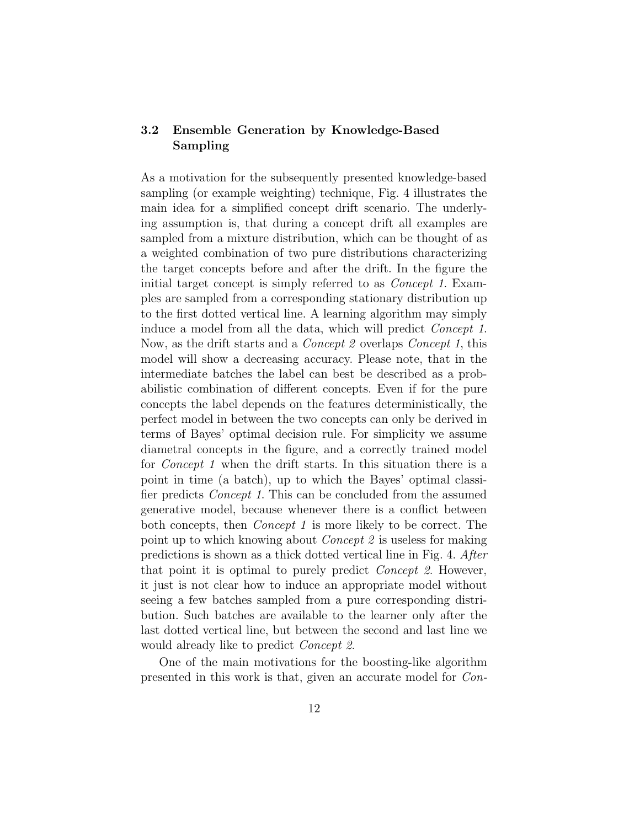## 3.2 Ensemble Generation by Knowledge-Based Sampling

As a motivation for the subsequently presented knowledge-based sampling (or example weighting) technique, Fig. 4 illustrates the main idea for a simplified concept drift scenario. The underlying assumption is, that during a concept drift all examples are sampled from a mixture distribution, which can be thought of as a weighted combination of two pure distributions characterizing the target concepts before and after the drift. In the figure the initial target concept is simply referred to as Concept 1. Examples are sampled from a corresponding stationary distribution up to the first dotted vertical line. A learning algorithm may simply induce a model from all the data, which will predict Concept 1. Now, as the drift starts and a Concept 2 overlaps Concept 1, this model will show a decreasing accuracy. Please note, that in the intermediate batches the label can best be described as a probabilistic combination of different concepts. Even if for the pure concepts the label depends on the features deterministically, the perfect model in between the two concepts can only be derived in terms of Bayes' optimal decision rule. For simplicity we assume diametral concepts in the figure, and a correctly trained model for *Concept 1* when the drift starts. In this situation there is a point in time (a batch), up to which the Bayes' optimal classifier predicts Concept 1. This can be concluded from the assumed generative model, because whenever there is a conflict between both concepts, then Concept 1 is more likely to be correct. The point up to which knowing about Concept 2 is useless for making predictions is shown as a thick dotted vertical line in Fig. 4. After that point it is optimal to purely predict Concept 2. However, it just is not clear how to induce an appropriate model without seeing a few batches sampled from a pure corresponding distribution. Such batches are available to the learner only after the last dotted vertical line, but between the second and last line we would already like to predict Concept 2.

One of the main motivations for the boosting-like algorithm presented in this work is that, given an accurate model for Con-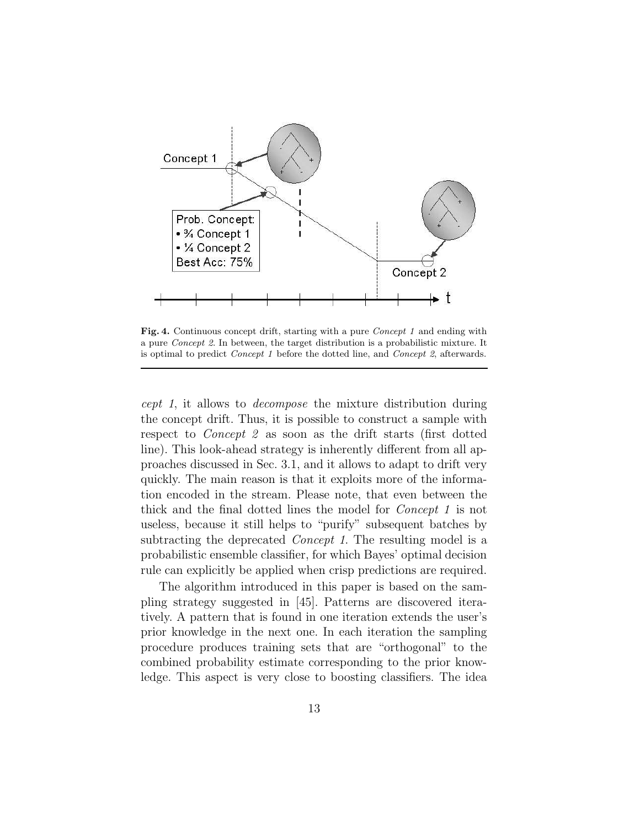

Fig. 4. Continuous concept drift, starting with a pure *Concept 1* and ending with a pure Concept 2. In between, the target distribution is a probabilistic mixture. It is optimal to predict Concept 1 before the dotted line, and Concept 2, afterwards.

cept 1, it allows to decompose the mixture distribution during the concept drift. Thus, it is possible to construct a sample with respect to *Concept 2* as soon as the drift starts (first dotted line). This look-ahead strategy is inherently different from all approaches discussed in Sec. 3.1, and it allows to adapt to drift very quickly. The main reason is that it exploits more of the information encoded in the stream. Please note, that even between the thick and the final dotted lines the model for Concept 1 is not useless, because it still helps to "purify" subsequent batches by subtracting the deprecated *Concept 1*. The resulting model is a probabilistic ensemble classifier, for which Bayes' optimal decision rule can explicitly be applied when crisp predictions are required.

The algorithm introduced in this paper is based on the sampling strategy suggested in [45]. Patterns are discovered iteratively. A pattern that is found in one iteration extends the user's prior knowledge in the next one. In each iteration the sampling procedure produces training sets that are "orthogonal" to the combined probability estimate corresponding to the prior knowledge. This aspect is very close to boosting classifiers. The idea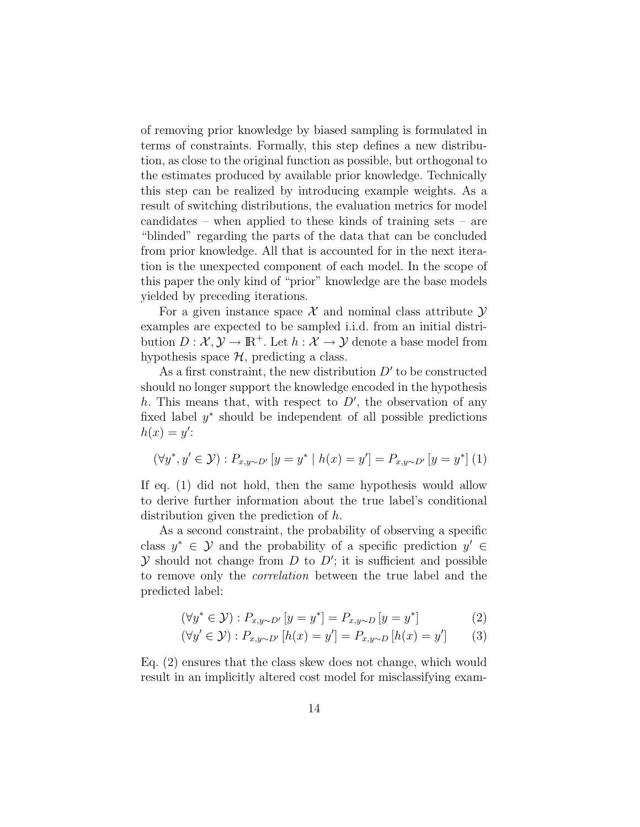of removing prior knowledge by biased sampling is formulated in terms of constraints. Formally, this step defines a new distribution, as close to the original function as possible, but orthogonal to the estimates produced by available prior knowledge. Technically this step can be realized by introducing example weights. As a result of switching distributions, the evaluation metrics for model candidates – when applied to these kinds of training sets – are "blinded" regarding the parts of the data that can be concluded from prior knowledge. All that is accounted for in the next iteration is the unexpected component of each model. In the scope of this paper the only kind of "prior" knowledge are the base models yielded by preceding iterations.

For a given instance space  $\mathcal X$  and nominal class attribute  $\mathcal Y$ examples are expected to be sampled i.i.d. from an initial distribution  $D: \mathcal{X}, \mathcal{Y} \to \mathbb{R}^+$ . Let  $h: \mathcal{X} \to \mathcal{Y}$  denote a base model from hypothesis space  $H$ , predicting a class.

As a first constraint, the new distribution  $D'$  to be constructed should no longer support the knowledge encoded in the hypothesis h. This means that, with respect to  $D'$ , the observation of any fixed label y ∗ should be independent of all possible predictions  $h(x) = y'$ :

$$
(\forall y^*, y' \in \mathcal{Y}) : P_{x, y \sim D'}[y = y^* | h(x) = y'] = P_{x, y \sim D'}[y = y^*] (1)
$$

If eq. (1) did not hold, then the same hypothesis would allow to derive further information about the true label's conditional distribution given the prediction of h.

As a second constraint, the probability of observing a specific class  $y^* \in \mathcal{Y}$  and the probability of a specific prediction  $y' \in \mathcal{Y}$  $Y$  should not change from  $D$  to  $D'$ ; it is sufficient and possible to remove only the correlation between the true label and the predicted label:

$$
(\forall y^* \in \mathcal{Y}) : P_{x,y \sim D'}[y = y^*] = P_{x,y \sim D}[y = y^*]
$$
\n
$$
(2)
$$

$$
(\forall y' \in \mathcal{Y}) : P_{x, y \sim D'} [h(x) = y'] = P_{x, y \sim D} [h(x) = y'] \tag{3}
$$

Eq. (2) ensures that the class skew does not change, which would result in an implicitly altered cost model for misclassifying exam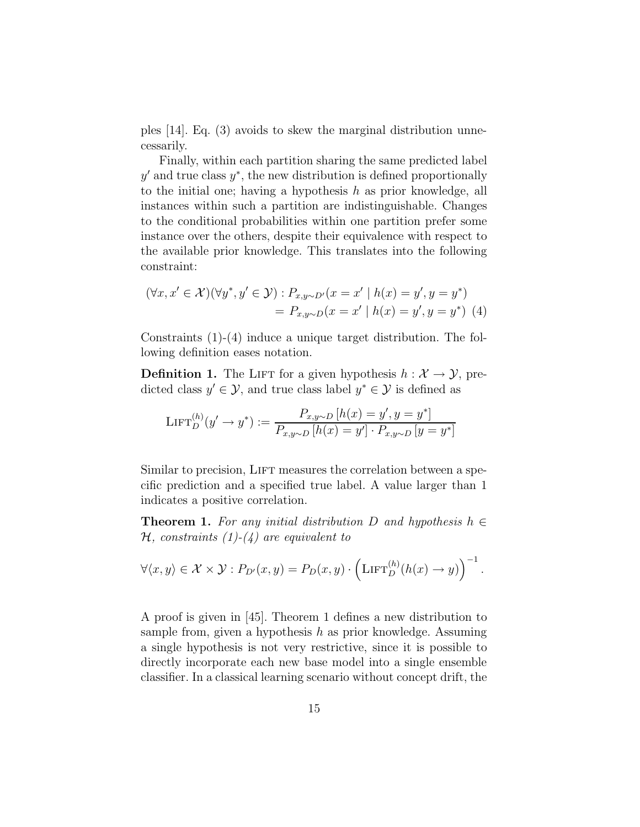ples [14]. Eq. (3) avoids to skew the marginal distribution unnecessarily.

Finally, within each partition sharing the same predicted label  $y'$  and true class  $y^*$ , the new distribution is defined proportionally to the initial one; having a hypothesis  $h$  as prior knowledge, all instances within such a partition are indistinguishable. Changes to the conditional probabilities within one partition prefer some instance over the others, despite their equivalence with respect to the available prior knowledge. This translates into the following constraint:

$$
(\forall x, x' \in \mathcal{X})(\forall y^*, y' \in \mathcal{Y}) : P_{x,y \sim D'}(x = x' \mid h(x) = y', y = y^*)
$$
  
=  $P_{x,y \sim D}(x = x' \mid h(x) = y', y = y^*)$  (4)

Constraints (1)-(4) induce a unique target distribution. The following definition eases notation.

**Definition 1.** The LIFT for a given hypothesis  $h : \mathcal{X} \to \mathcal{Y}$ , predicted class  $y' \in \mathcal{Y}$ , and true class label  $y^* \in \mathcal{Y}$  is defined as

$$
\mathrm{LIFT}_{D}^{(h)}(y' \to y^*) := \frac{P_{x,y \sim D}[h(x) = y', y = y^*]}{P_{x,y \sim D}[h(x) = y'] \cdot P_{x,y \sim D}[y = y^*]}
$$

Similar to precision, LIFT measures the correlation between a specific prediction and a specified true label. A value larger than 1 indicates a positive correlation.

**Theorem 1.** For any initial distribution D and hypothesis  $h \in$  $H$ , constraints  $(1)-(4)$  are equivalent to

$$
\forall \langle x, y \rangle \in \mathcal{X} \times \mathcal{Y} : P_{D'}(x, y) = P_D(x, y) \cdot \left( \text{LIFT}_D^{(h)}(h(x) \to y) \right)^{-1}.
$$

A proof is given in [45]. Theorem 1 defines a new distribution to sample from, given a hypothesis  $h$  as prior knowledge. Assuming a single hypothesis is not very restrictive, since it is possible to directly incorporate each new base model into a single ensemble classifier. In a classical learning scenario without concept drift, the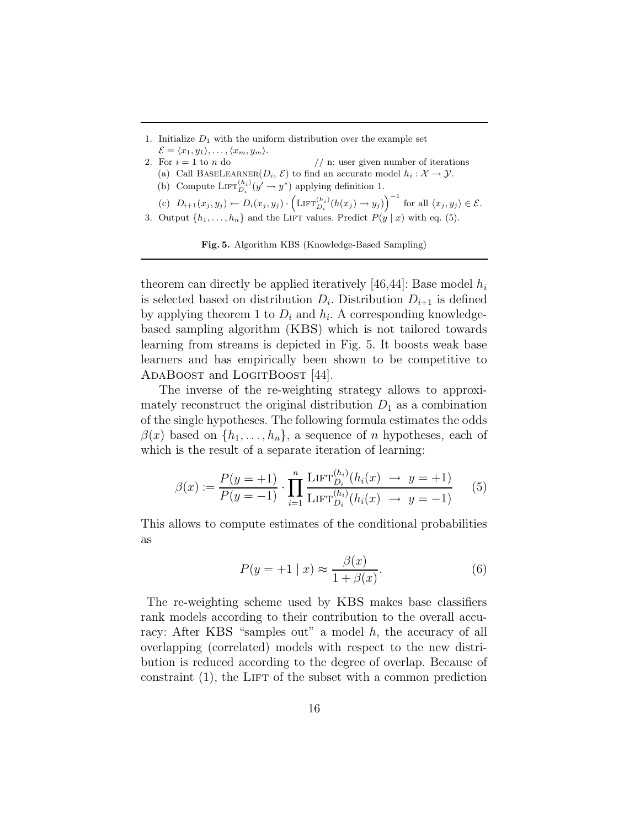1. Initialize  $D_1$  with the uniform distribution over the example set  $\mathcal{E} = \langle x_1, y_1 \rangle, \ldots, \langle x_m, y_m \rangle.$ 

- 2. For  $i = 1$  to n do // n: user given number of iterations
	- (a) Call BASELEARNER( $D_i$ ,  $\mathcal{E}$ ) to find an accurate model  $h_i : \mathcal{X} \to \mathcal{Y}$ .
	- (b) Compute  $\mathrm{LIFT}_{D_i}^{(h_i)}(y' \to y^*)$  applying definition 1.

 $(c)$   $D_{i+1}(x_j, y_j) \leftarrow D_i(x_j, y_j) \cdot \left( \text{LIFT}_{D_i}^{(h_i)}(h(x_j) \rightarrow y_j) \right)^{-1}$  for all  $\langle x_j, y_j \rangle \in \mathcal{E}$ .

3. Output  $\{h_1, \ldots, h_n\}$  and the LIFT values. Predict  $P(y | x)$  with eq. (5).

Fig. 5. Algorithm KBS (Knowledge-Based Sampling)

theorem can directly be applied iteratively [46,44]: Base model  $h_i$ is selected based on distribution  $D_i$ . Distribution  $D_{i+1}$  is defined by applying theorem 1 to  $D_i$  and  $h_i$ . A corresponding knowledgebased sampling algorithm (KBS) which is not tailored towards learning from streams is depicted in Fig. 5. It boosts weak base learners and has empirically been shown to be competitive to ADABOOST and LOGITBOOST [44].

The inverse of the re-weighting strategy allows to approximately reconstruct the original distribution  $D_1$  as a combination of the single hypotheses. The following formula estimates the odds  $\beta(x)$  based on  $\{h_1, \ldots, h_n\}$ , a sequence of n hypotheses, each of which is the result of a separate iteration of learning:

$$
\beta(x) := \frac{P(y = +1)}{P(y = -1)} \cdot \prod_{i=1}^{n} \frac{\text{LIFT}_{D_i}^{(h_i)}(h_i(x) \to y = +1)}{\text{LIFT}_{D_i}^{(h_i)}(h_i(x) \to y = -1)} \tag{5}
$$

This allows to compute estimates of the conditional probabilities as

$$
P(y = +1 | x) \approx \frac{\beta(x)}{1 + \beta(x)}.
$$
 (6)

The re-weighting scheme used by KBS makes base classifiers rank models according to their contribution to the overall accuracy: After KBS "samples out" a model h, the accuracy of all overlapping (correlated) models with respect to the new distribution is reduced according to the degree of overlap. Because of constraint  $(1)$ , the LIFT of the subset with a common prediction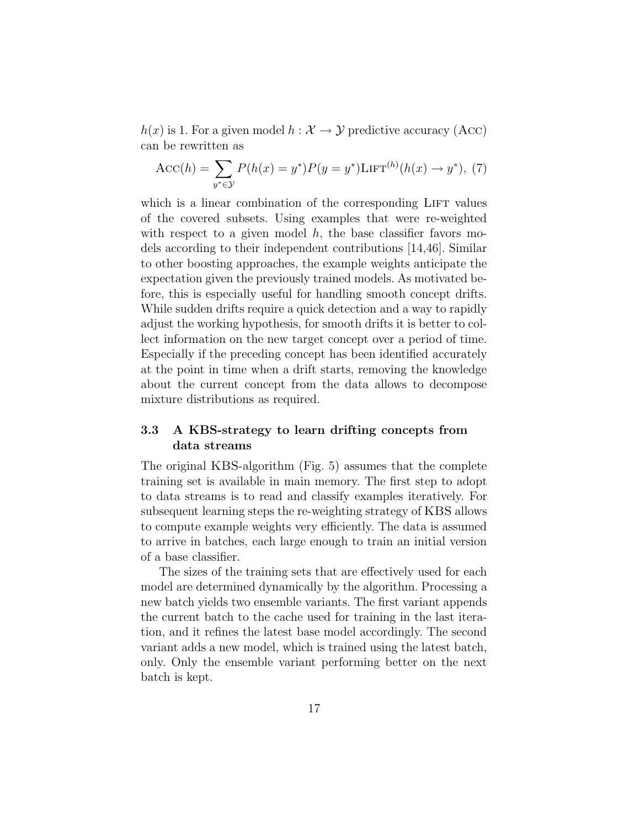$h(x)$  is 1. For a given model  $h: \mathcal{X} \to \mathcal{Y}$  predictive accuracy (Acc) can be rewritten as

$$
Acc(h) = \sum_{y^* \in \mathcal{Y}} P(h(x) = y^*) P(y = y^*) \text{LIFT}^{(h)}(h(x) \to y^*), (7)
$$

which is a linear combination of the corresponding LIFT values of the covered subsets. Using examples that were re-weighted with respect to a given model  $h$ , the base classifier favors models according to their independent contributions [14,46]. Similar to other boosting approaches, the example weights anticipate the expectation given the previously trained models. As motivated before, this is especially useful for handling smooth concept drifts. While sudden drifts require a quick detection and a way to rapidly adjust the working hypothesis, for smooth drifts it is better to collect information on the new target concept over a period of time. Especially if the preceding concept has been identified accurately at the point in time when a drift starts, removing the knowledge about the current concept from the data allows to decompose mixture distributions as required.

## 3.3 A KBS-strategy to learn drifting concepts from data streams

The original KBS-algorithm (Fig. 5) assumes that the complete training set is available in main memory. The first step to adopt to data streams is to read and classify examples iteratively. For subsequent learning steps the re-weighting strategy of KBS allows to compute example weights very efficiently. The data is assumed to arrive in batches, each large enough to train an initial version of a base classifier.

The sizes of the training sets that are effectively used for each model are determined dynamically by the algorithm. Processing a new batch yields two ensemble variants. The first variant appends the current batch to the cache used for training in the last iteration, and it refines the latest base model accordingly. The second variant adds a new model, which is trained using the latest batch, only. Only the ensemble variant performing better on the next batch is kept.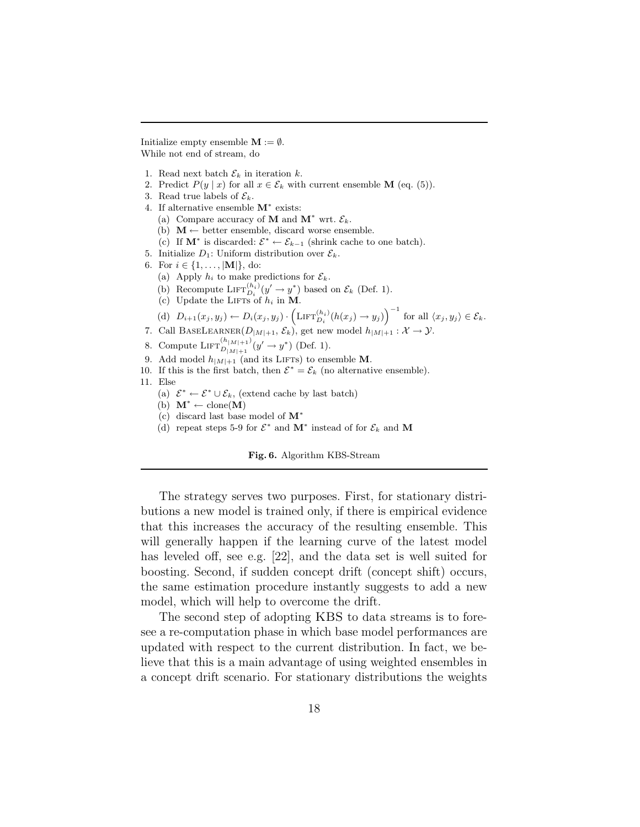Initialize empty ensemble  $\mathbf{M} := \emptyset$ . While not end of stream, do

- 1. Read next batch  $\mathcal{E}_k$  in iteration k.
- 2. Predict  $P(y | x)$  for all  $x \in \mathcal{E}_k$  with current ensemble **M** (eq. (5)).
- 3. Read true labels of  $\mathcal{E}_k$ .
- 4. If alternative ensemble  $M^*$  exists:
	- (a) Compare accuracy of **M** and  $M^*$  wrt.  $\mathcal{E}_k$ .
	- (b)  $M \leftarrow$  better ensemble, discard worse ensemble.
	- (c) If  $\mathbf{M}^*$  is discarded:  $\mathcal{E}^* \leftarrow \mathcal{E}_{k-1}$  (shrink cache to one batch).
- 5. Initialize  $D_1$ : Uniform distribution over  $\mathcal{E}_k$ .
- 6. For  $i \in \{1, ..., |\mathbf{M}|\},\$ do:
	- (a) Apply  $h_i$  to make predictions for  $\mathcal{E}_k$ .
	- (b) Recompute  $\mathrm{LIFT}_{D_i}^{(h_i)}(y' \to y^*)$  based on  $\mathcal{E}_k$  (Def. 1).
	- (c) Update the LIFTs of  $h_i$  in M.

(d) 
$$
D_{i+1}(x_j, y_j) \leftarrow D_i(x_j, y_j) \cdot (\text{LIFT}_{D_i}^{(h_i)}(h(x_j) \rightarrow y_j))^{-1}
$$
 for all  $\langle x_j, y_j \rangle \in \mathcal{E}_k$ .

- 7. Call BASELEARNER $(D_{|M|+1}, \mathcal{E}_k)$ , get new model  $h_{|M|+1} : \mathcal{X} \to \mathcal{Y}$ .
- 8. Compute  $\mathrm{LIFT}_{D_{|M|+1}}^{(h_{|M|+1})}(y' \to y^*)$  (Def. 1).
- 9. Add model  $h_{|M|+1}$  (and its LIFTs) to ensemble M.
- 10. If this is the first batch, then  $\mathcal{E}^* = \mathcal{E}_k$  (no alternative ensemble).
- 11. Else
	- (a)  $\mathcal{E}^* \leftarrow \mathcal{E}^* \cup \mathcal{E}_k$ , (extend cache by last batch)
	- (b)  $M^* \leftarrow \text{clone}(M)$
	- (c) discard last base model of M<sup>∗</sup>
	- (d) repeat steps 5-9 for  $\mathcal{E}^*$  and  $\mathbf{M}^*$  instead of for  $\mathcal{E}_k$  and  $\mathbf{M}$

Fig. 6. Algorithm KBS-Stream

The strategy serves two purposes. First, for stationary distributions a new model is trained only, if there is empirical evidence that this increases the accuracy of the resulting ensemble. This will generally happen if the learning curve of the latest model has leveled off, see e.g. [22], and the data set is well suited for boosting. Second, if sudden concept drift (concept shift) occurs, the same estimation procedure instantly suggests to add a new model, which will help to overcome the drift.

The second step of adopting KBS to data streams is to foresee a re-computation phase in which base model performances are updated with respect to the current distribution. In fact, we believe that this is a main advantage of using weighted ensembles in a concept drift scenario. For stationary distributions the weights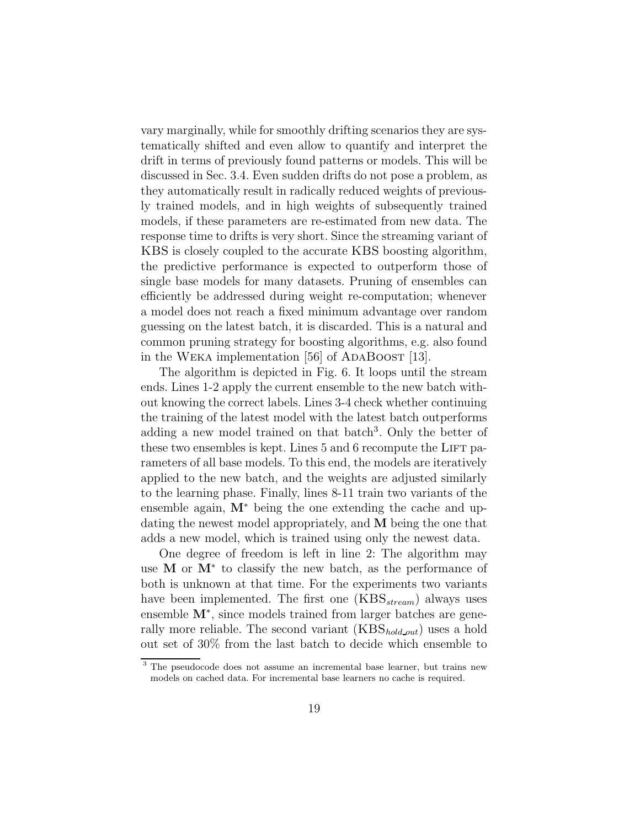vary marginally, while for smoothly drifting scenarios they are systematically shifted and even allow to quantify and interpret the drift in terms of previously found patterns or models. This will be discussed in Sec. 3.4. Even sudden drifts do not pose a problem, as they automatically result in radically reduced weights of previously trained models, and in high weights of subsequently trained models, if these parameters are re-estimated from new data. The response time to drifts is very short. Since the streaming variant of KBS is closely coupled to the accurate KBS boosting algorithm, the predictive performance is expected to outperform those of single base models for many datasets. Pruning of ensembles can efficiently be addressed during weight re-computation; whenever a model does not reach a fixed minimum advantage over random guessing on the latest batch, it is discarded. This is a natural and common pruning strategy for boosting algorithms, e.g. also found in the WEKA implementation  $[56]$  of ADABOOST  $[13]$ .

The algorithm is depicted in Fig. 6. It loops until the stream ends. Lines 1-2 apply the current ensemble to the new batch without knowing the correct labels. Lines 3-4 check whether continuing the training of the latest model with the latest batch outperforms adding a new model trained on that batch 3 . Only the better of these two ensembles is kept. Lines  $5$  and  $6$  recompute the LIFT parameters of all base models. To this end, the models are iteratively applied to the new batch, and the weights are adjusted similarly to the learning phase. Finally, lines 8-11 train two variants of the ensemble again,  $M^*$  being the one extending the cache and updating the newest model appropriately, and M being the one that adds a new model, which is trained using only the newest data.

One degree of freedom is left in line 2: The algorithm may use M or M<sup>∗</sup> to classify the new batch, as the performance of both is unknown at that time. For the experiments two variants have been implemented. The first one  $(KBS_{stream})$  always uses ensemble M<sup>\*</sup>, since models trained from larger batches are generally more reliable. The second variant  $(KBS_{hold,out})$  uses a hold out set of 30% from the last batch to decide which ensemble to

<sup>&</sup>lt;sup>3</sup> The pseudocode does not assume an incremental base learner, but trains new models on cached data. For incremental base learners no cache is required.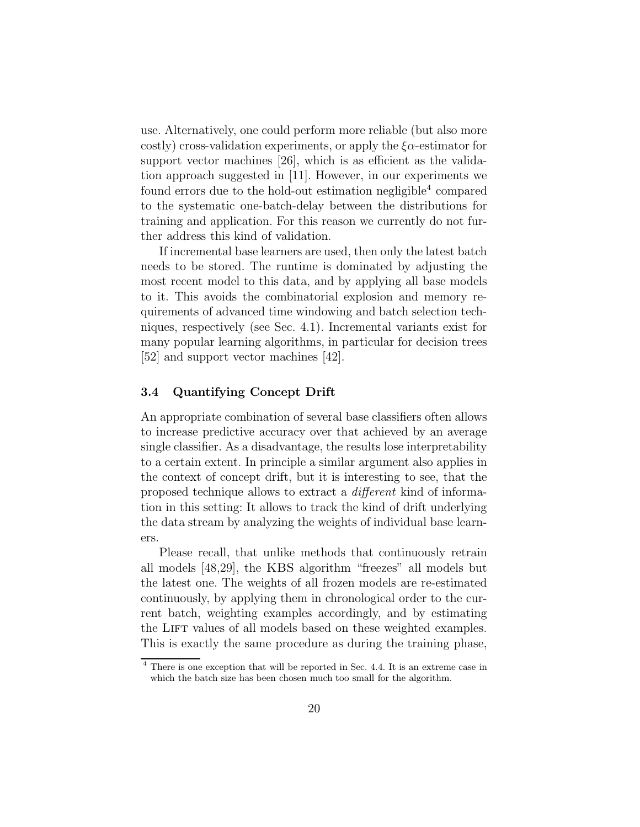use. Alternatively, one could perform more reliable (but also more costly) cross-validation experiments, or apply the  $\zeta_{\alpha}$ -estimator for support vector machines [26], which is as efficient as the validation approach suggested in [11]. However, in our experiments we found errors due to the hold-out estimation negligible<sup>4</sup> compared to the systematic one-batch-delay between the distributions for training and application. For this reason we currently do not further address this kind of validation.

If incremental base learners are used, then only the latest batch needs to be stored. The runtime is dominated by adjusting the most recent model to this data, and by applying all base models to it. This avoids the combinatorial explosion and memory requirements of advanced time windowing and batch selection techniques, respectively (see Sec. 4.1). Incremental variants exist for many popular learning algorithms, in particular for decision trees [52] and support vector machines [42].

#### 3.4 Quantifying Concept Drift

An appropriate combination of several base classifiers often allows to increase predictive accuracy over that achieved by an average single classifier. As a disadvantage, the results lose interpretability to a certain extent. In principle a similar argument also applies in the context of concept drift, but it is interesting to see, that the proposed technique allows to extract a different kind of information in this setting: It allows to track the kind of drift underlying the data stream by analyzing the weights of individual base learners.

Please recall, that unlike methods that continuously retrain all models [48,29], the KBS algorithm "freezes" all models but the latest one. The weights of all frozen models are re-estimated continuously, by applying them in chronological order to the current batch, weighting examples accordingly, and by estimating the LIFT values of all models based on these weighted examples. This is exactly the same procedure as during the training phase,

<sup>4</sup> There is one exception that will be reported in Sec. 4.4. It is an extreme case in which the batch size has been chosen much too small for the algorithm.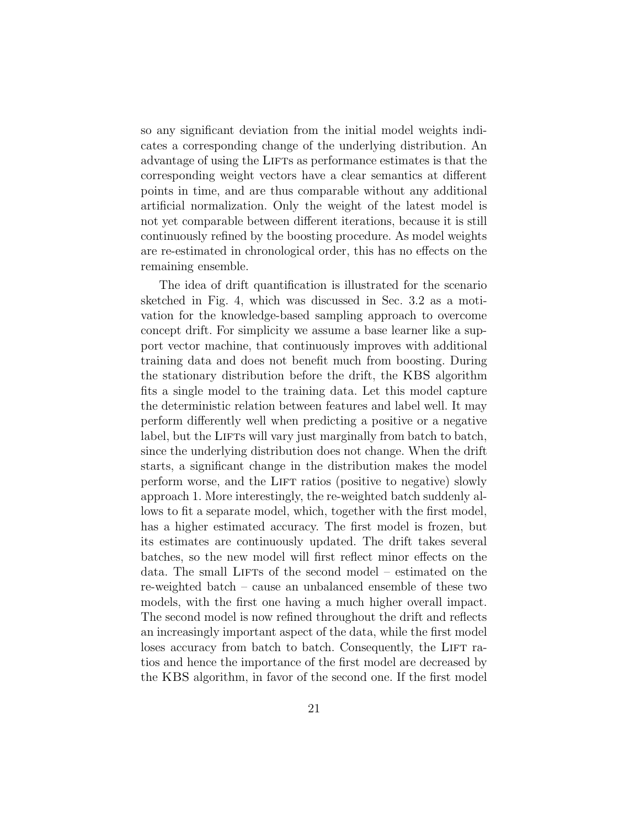so any significant deviation from the initial model weights indicates a corresponding change of the underlying distribution. An advantage of using the LIFTs as performance estimates is that the corresponding weight vectors have a clear semantics at different points in time, and are thus comparable without any additional artificial normalization. Only the weight of the latest model is not yet comparable between different iterations, because it is still continuously refined by the boosting procedure. As model weights are re-estimated in chronological order, this has no effects on the remaining ensemble.

The idea of drift quantification is illustrated for the scenario sketched in Fig. 4, which was discussed in Sec. 3.2 as a motivation for the knowledge-based sampling approach to overcome concept drift. For simplicity we assume a base learner like a support vector machine, that continuously improves with additional training data and does not benefit much from boosting. During the stationary distribution before the drift, the KBS algorithm fits a single model to the training data. Let this model capture the deterministic relation between features and label well. It may perform differently well when predicting a positive or a negative label, but the LIFTs will vary just marginally from batch to batch, since the underlying distribution does not change. When the drift starts, a significant change in the distribution makes the model perform worse, and the LIFT ratios (positive to negative) slowly approach 1. More interestingly, the re-weighted batch suddenly allows to fit a separate model, which, together with the first model, has a higher estimated accuracy. The first model is frozen, but its estimates are continuously updated. The drift takes several batches, so the new model will first reflect minor effects on the data. The small LIFTs of the second model – estimated on the re-weighted batch – cause an unbalanced ensemble of these two models, with the first one having a much higher overall impact. The second model is now refined throughout the drift and reflects an increasingly important aspect of the data, while the first model loses accuracy from batch to batch. Consequently, the LIFT ratios and hence the importance of the first model are decreased by the KBS algorithm, in favor of the second one. If the first model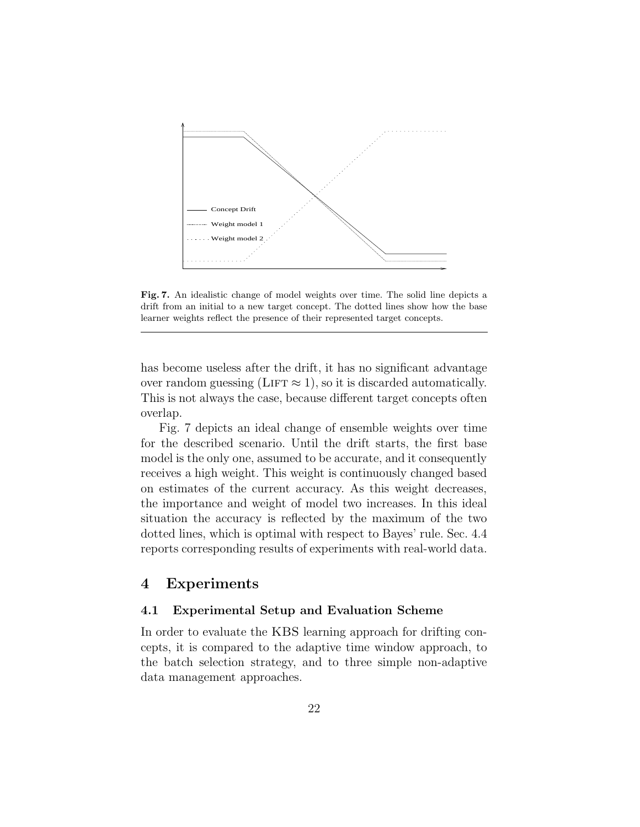

Fig. 7. An idealistic change of model weights over time. The solid line depicts a drift from an initial to a new target concept. The dotted lines show how the base learner weights reflect the presence of their represented target concepts.

has become useless after the drift, it has no significant advantage over random guessing (LIFT  $\approx$  1), so it is discarded automatically. This is not always the case, because different target concepts often overlap.

Fig. 7 depicts an ideal change of ensemble weights over time for the described scenario. Until the drift starts, the first base model is the only one, assumed to be accurate, and it consequently receives a high weight. This weight is continuously changed based on estimates of the current accuracy. As this weight decreases, the importance and weight of model two increases. In this ideal situation the accuracy is reflected by the maximum of the two dotted lines, which is optimal with respect to Bayes' rule. Sec. 4.4 reports corresponding results of experiments with real-world data.

## 4 Experiments

#### 4.1 Experimental Setup and Evaluation Scheme

In order to evaluate the KBS learning approach for drifting concepts, it is compared to the adaptive time window approach, to the batch selection strategy, and to three simple non-adaptive data management approaches.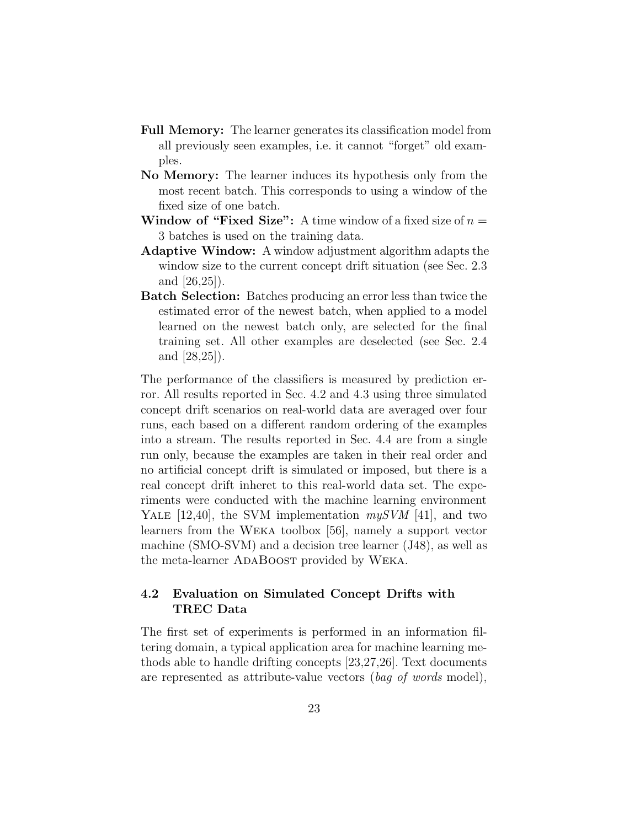- Full Memory: The learner generates its classification model from all previously seen examples, i.e. it cannot "forget" old examples.
- No Memory: The learner induces its hypothesis only from the most recent batch. This corresponds to using a window of the fixed size of one batch.
- **Window of "Fixed Size":** A time window of a fixed size of  $n =$ 3 batches is used on the training data.
- Adaptive Window: A window adjustment algorithm adapts the window size to the current concept drift situation (see Sec. 2.3 and [26,25]).
- Batch Selection: Batches producing an error less than twice the estimated error of the newest batch, when applied to a model learned on the newest batch only, are selected for the final training set. All other examples are deselected (see Sec. 2.4 and [28,25]).

The performance of the classifiers is measured by prediction error. All results reported in Sec. 4.2 and 4.3 using three simulated concept drift scenarios on real-world data are averaged over four runs, each based on a different random ordering of the examples into a stream. The results reported in Sec. 4.4 are from a single run only, because the examples are taken in their real order and no artificial concept drift is simulated or imposed, but there is a real concept drift inheret to this real-world data set. The experiments were conducted with the machine learning environment YALE [12,40], the SVM implementation  $mySVM$  [41], and two learners from the Weka toolbox [56], namely a support vector machine (SMO-SVM) and a decision tree learner (J48), as well as the meta-learner ADABOOST provided by WEKA.

## 4.2 Evaluation on Simulated Concept Drifts with TREC Data

The first set of experiments is performed in an information filtering domain, a typical application area for machine learning methods able to handle drifting concepts [23,27,26]. Text documents are represented as attribute-value vectors (bag of words model),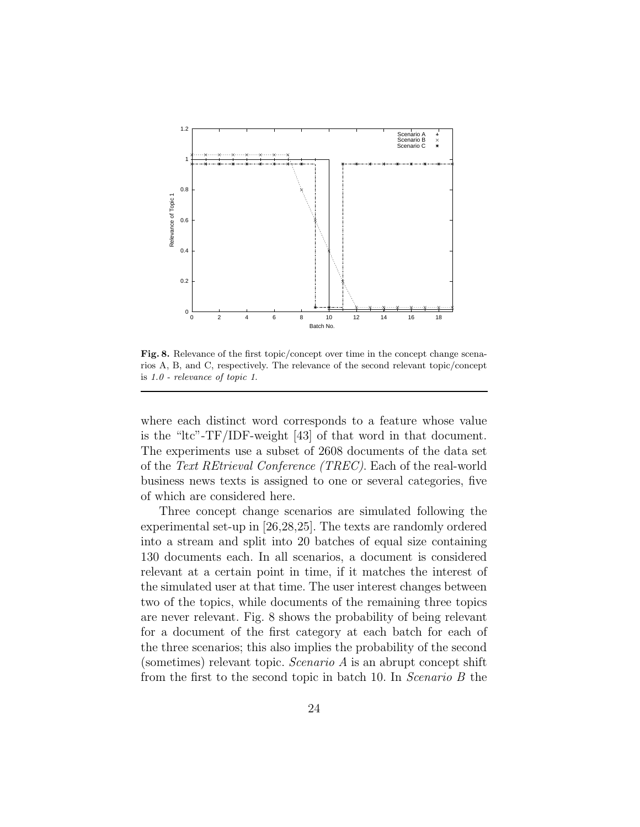

Fig. 8. Relevance of the first topic/concept over time in the concept change scenarios A, B, and C, respectively. The relevance of the second relevant topic/concept is 1.0 - relevance of topic 1.

where each distinct word corresponds to a feature whose value is the "ltc"-TF/IDF-weight [43] of that word in that document. The experiments use a subset of 2608 documents of the data set of the Text REtrieval Conference (TREC). Each of the real-world business news texts is assigned to one or several categories, five of which are considered here.

Three concept change scenarios are simulated following the experimental set-up in [26,28,25]. The texts are randomly ordered into a stream and split into 20 batches of equal size containing 130 documents each. In all scenarios, a document is considered relevant at a certain point in time, if it matches the interest of the simulated user at that time. The user interest changes between two of the topics, while documents of the remaining three topics are never relevant. Fig. 8 shows the probability of being relevant for a document of the first category at each batch for each of the three scenarios; this also implies the probability of the second (sometimes) relevant topic. Scenario A is an abrupt concept shift from the first to the second topic in batch 10. In Scenario B the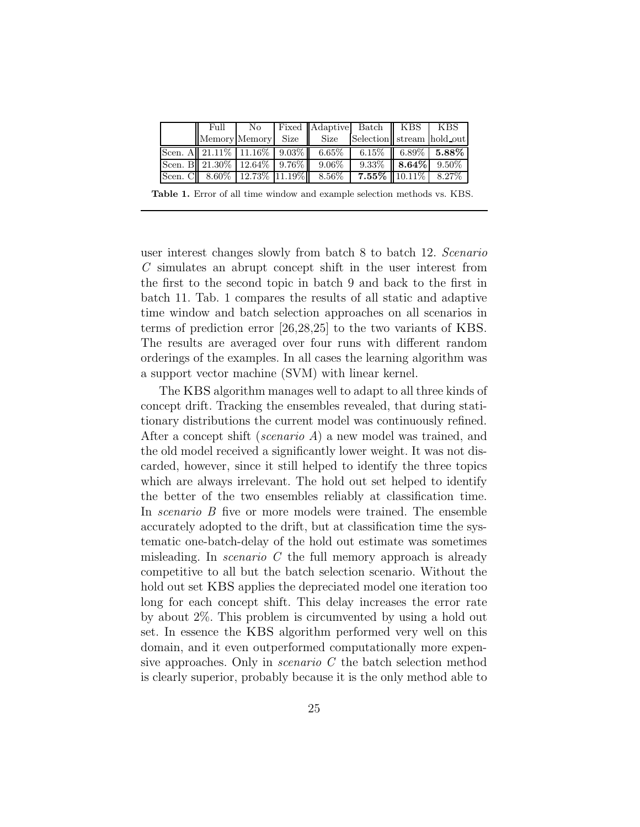| $\overline{\text{Full}}$ |  | No   Fixed   Adaptive Batch   KBS   KBS                                 |                         |                                     |
|--------------------------|--|-------------------------------------------------------------------------|-------------------------|-------------------------------------|
|                          |  | Memory Memory Size Size Selection stream hold out                       |                         |                                     |
|                          |  | Scen. A $\boxed{21.11\% \boxed{11.16\% \boxed{9.03\%}} \boxed{6.65\%}}$ |                         | $6.15\%$ 6.89\% 5.88\%              |
|                          |  | Scen. B 21.30\% 12.64\% 3.76\% 3.06\%                                   |                         | $9.33\%$   <b>8.64\%</b>   $9.50\%$ |
|                          |  | Scen. C $8.60\%$ 12.73\% 11.19\% 8.56\%                                 | $7.55\%$ 10.11\% 8.27\% |                                     |

Table 1. Error of all time window and example selection methods vs. KBS.

user interest changes slowly from batch 8 to batch 12. Scenario C simulates an abrupt concept shift in the user interest from the first to the second topic in batch 9 and back to the first in batch 11. Tab. 1 compares the results of all static and adaptive time window and batch selection approaches on all scenarios in terms of prediction error [26,28,25] to the two variants of KBS. The results are averaged over four runs with different random orderings of the examples. In all cases the learning algorithm was a support vector machine (SVM) with linear kernel.

The KBS algorithm manages well to adapt to all three kinds of concept drift. Tracking the ensembles revealed, that during statitionary distributions the current model was continuously refined. After a concept shift (scenario A) a new model was trained, and the old model received a significantly lower weight. It was not discarded, however, since it still helped to identify the three topics which are always irrelevant. The hold out set helped to identify the better of the two ensembles reliably at classification time. In scenario B five or more models were trained. The ensemble accurately adopted to the drift, but at classification time the systematic one-batch-delay of the hold out estimate was sometimes misleading. In *scenario C* the full memory approach is already competitive to all but the batch selection scenario. Without the hold out set KBS applies the depreciated model one iteration too long for each concept shift. This delay increases the error rate by about 2%. This problem is circumvented by using a hold out set. In essence the KBS algorithm performed very well on this domain, and it even outperformed computationally more expensive approaches. Only in *scenario* C the batch selection method is clearly superior, probably because it is the only method able to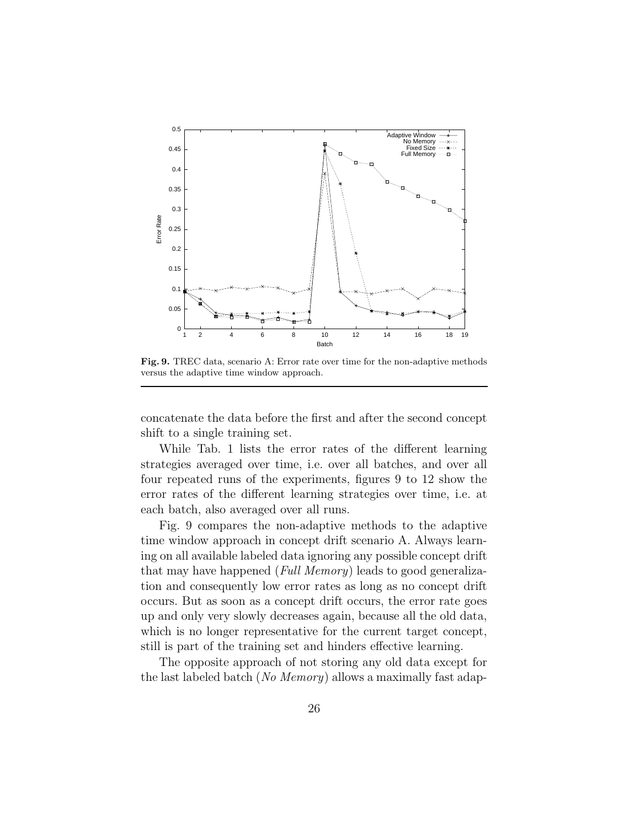

Fig. 9. TREC data, scenario A: Error rate over time for the non-adaptive methods versus the adaptive time window approach.

concatenate the data before the first and after the second concept shift to a single training set.

While Tab. 1 lists the error rates of the different learning strategies averaged over time, i.e. over all batches, and over all four repeated runs of the experiments, figures 9 to 12 show the error rates of the different learning strategies over time, i.e. at each batch, also averaged over all runs.

Fig. 9 compares the non-adaptive methods to the adaptive time window approach in concept drift scenario A. Always learning on all available labeled data ignoring any possible concept drift that may have happened (Full Memory) leads to good generalization and consequently low error rates as long as no concept drift occurs. But as soon as a concept drift occurs, the error rate goes up and only very slowly decreases again, because all the old data, which is no longer representative for the current target concept, still is part of the training set and hinders effective learning.

The opposite approach of not storing any old data except for the last labeled batch (No Memory) allows a maximally fast adap-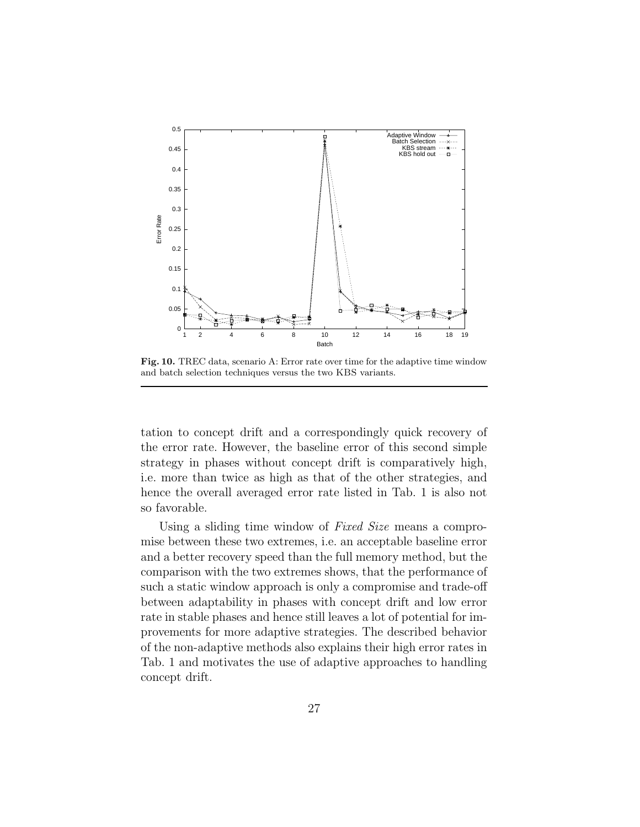

Fig. 10. TREC data, scenario A: Error rate over time for the adaptive time window and batch selection techniques versus the two KBS variants.

tation to concept drift and a correspondingly quick recovery of the error rate. However, the baseline error of this second simple strategy in phases without concept drift is comparatively high, i.e. more than twice as high as that of the other strategies, and hence the overall averaged error rate listed in Tab. 1 is also not so favorable.

Using a sliding time window of Fixed Size means a compromise between these two extremes, i.e. an acceptable baseline error and a better recovery speed than the full memory method, but the comparison with the two extremes shows, that the performance of such a static window approach is only a compromise and trade-off between adaptability in phases with concept drift and low error rate in stable phases and hence still leaves a lot of potential for improvements for more adaptive strategies. The described behavior of the non-adaptive methods also explains their high error rates in Tab. 1 and motivates the use of adaptive approaches to handling concept drift.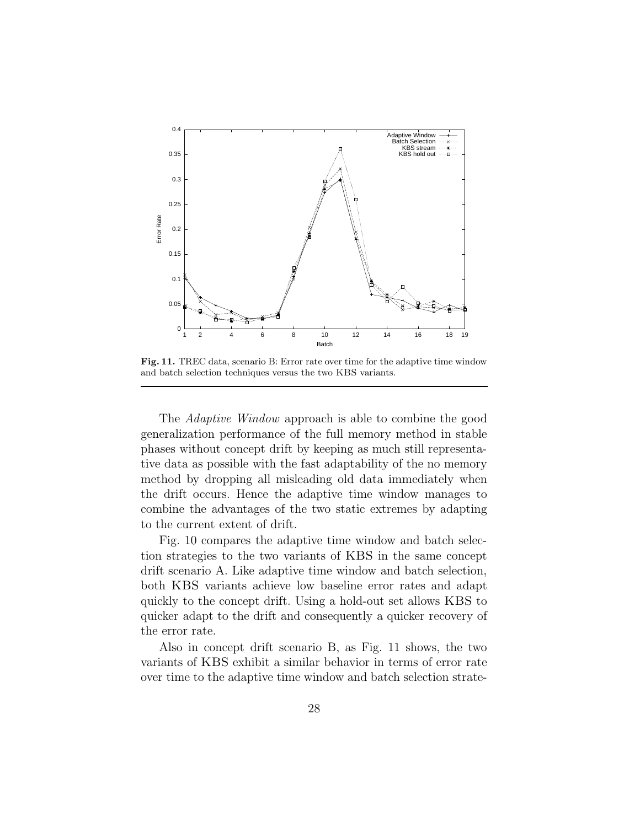

Fig. 11. TREC data, scenario B: Error rate over time for the adaptive time window and batch selection techniques versus the two KBS variants.

The Adaptive Window approach is able to combine the good generalization performance of the full memory method in stable phases without concept drift by keeping as much still representative data as possible with the fast adaptability of the no memory method by dropping all misleading old data immediately when the drift occurs. Hence the adaptive time window manages to combine the advantages of the two static extremes by adapting to the current extent of drift.

Fig. 10 compares the adaptive time window and batch selection strategies to the two variants of KBS in the same concept drift scenario A. Like adaptive time window and batch selection, both KBS variants achieve low baseline error rates and adapt quickly to the concept drift. Using a hold-out set allows KBS to quicker adapt to the drift and consequently a quicker recovery of the error rate.

Also in concept drift scenario B, as Fig. 11 shows, the two variants of KBS exhibit a similar behavior in terms of error rate over time to the adaptive time window and batch selection strate-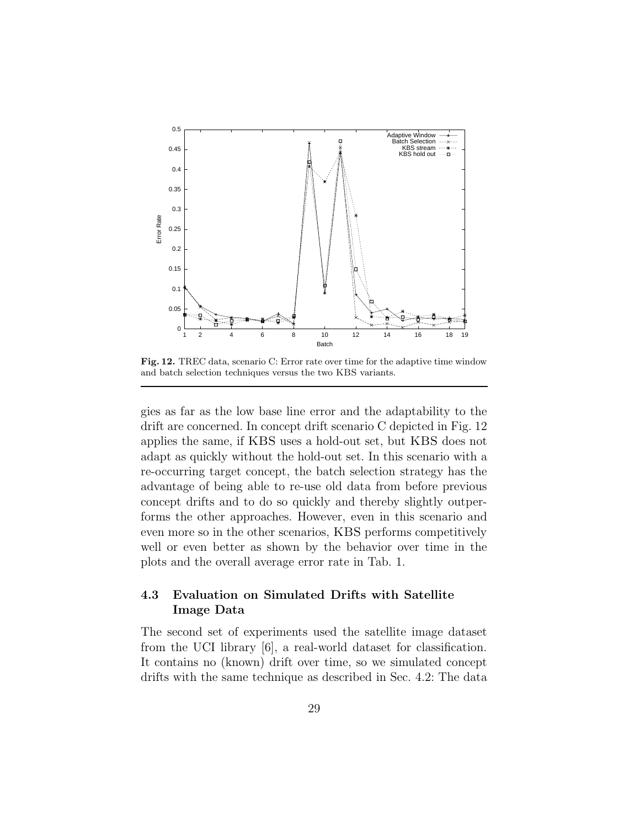

Fig. 12. TREC data, scenario C: Error rate over time for the adaptive time window and batch selection techniques versus the two KBS variants.

gies as far as the low base line error and the adaptability to the drift are concerned. In concept drift scenario C depicted in Fig. 12 applies the same, if KBS uses a hold-out set, but KBS does not adapt as quickly without the hold-out set. In this scenario with a re-occurring target concept, the batch selection strategy has the advantage of being able to re-use old data from before previous concept drifts and to do so quickly and thereby slightly outperforms the other approaches. However, even in this scenario and even more so in the other scenarios, KBS performs competitively well or even better as shown by the behavior over time in the plots and the overall average error rate in Tab. 1.

## 4.3 Evaluation on Simulated Drifts with Satellite Image Data

The second set of experiments used the satellite image dataset from the UCI library [6], a real-world dataset for classification. It contains no (known) drift over time, so we simulated concept drifts with the same technique as described in Sec. 4.2: The data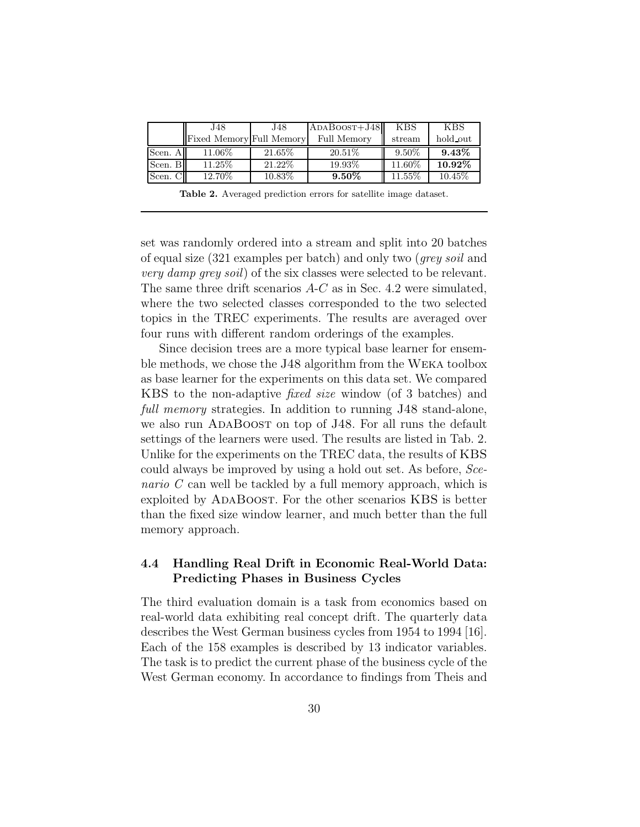|           | J48.                     | J48       | $ADABOOST+J48$ | <b>KBS</b> | <b>KBS</b> |
|-----------|--------------------------|-----------|----------------|------------|------------|
|           | Fixed Memory Full Memory |           | Full Memory    | stream     | hold out   |
| Scen. All | 11.06\%                  | $21.65\%$ | $20.51\%$      | $9.50\%$   | $9.43\%$   |
| Scen. Bl  | 11.25\%                  | 21.22\%   | 19.93%         | 11.60%     | $10.92\%$  |
| Scen. Cl  | 12.70%                   | 10.83%    | $9.50\%$       | $11.55\%$  | $10.45\%$  |

Table 2. Averaged prediction errors for satellite image dataset.

set was randomly ordered into a stream and split into 20 batches of equal size (321 examples per batch) and only two (grey soil and very damp grey soil) of the six classes were selected to be relevant. The same three drift scenarios A-C as in Sec. 4.2 were simulated, where the two selected classes corresponded to the two selected topics in the TREC experiments. The results are averaged over four runs with different random orderings of the examples.

Since decision trees are a more typical base learner for ensemble methods, we chose the J48 algorithm from the Weka toolbox as base learner for the experiments on this data set. We compared KBS to the non-adaptive fixed size window (of 3 batches) and full memory strategies. In addition to running J48 stand-alone, we also run ADABOOST on top of J48. For all runs the default settings of the learners were used. The results are listed in Tab. 2. Unlike for the experiments on the TREC data, the results of KBS could always be improved by using a hold out set. As before, Scenario C can well be tackled by a full memory approach, which is exploited by ADABOOST. For the other scenarios KBS is better than the fixed size window learner, and much better than the full memory approach.

### 4.4 Handling Real Drift in Economic Real-World Data: Predicting Phases in Business Cycles

The third evaluation domain is a task from economics based on real-world data exhibiting real concept drift. The quarterly data describes the West German business cycles from 1954 to 1994 [16]. Each of the 158 examples is described by 13 indicator variables. The task is to predict the current phase of the business cycle of the West German economy. In accordance to findings from Theis and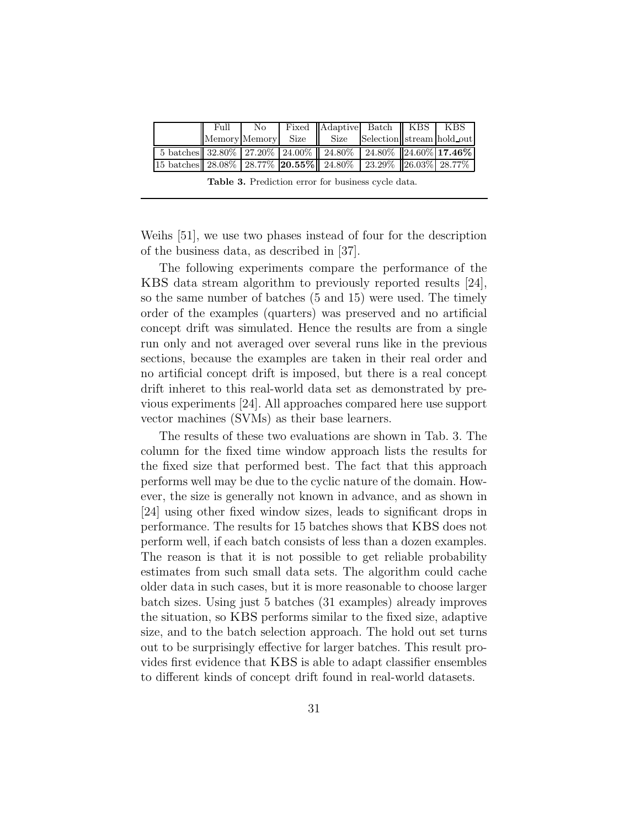|                                                                        | Full |  | No Fixed Adaptive Batch KBS   KBS                 |  |  |
|------------------------------------------------------------------------|------|--|---------------------------------------------------|--|--|
|                                                                        |      |  | Memory Memory Size Size Selection stream hold out |  |  |
| 5 batches 32.80%   27.20%   24.00%   24.80%   24.80%   24.60%   17.46% |      |  |                                                   |  |  |
| [15 batches] 28.08% 28.77% 20.55% 24.80% 23.29% 26.03% 28.77%          |      |  |                                                   |  |  |

Table 3. Prediction error for business cycle data.

Weihs [51], we use two phases instead of four for the description of the business data, as described in [37].

The following experiments compare the performance of the KBS data stream algorithm to previously reported results [24], so the same number of batches (5 and 15) were used. The timely order of the examples (quarters) was preserved and no artificial concept drift was simulated. Hence the results are from a single run only and not averaged over several runs like in the previous sections, because the examples are taken in their real order and no artificial concept drift is imposed, but there is a real concept drift inheret to this real-world data set as demonstrated by previous experiments [24]. All approaches compared here use support vector machines (SVMs) as their base learners.

The results of these two evaluations are shown in Tab. 3. The column for the fixed time window approach lists the results for the fixed size that performed best. The fact that this approach performs well may be due to the cyclic nature of the domain. However, the size is generally not known in advance, and as shown in [24] using other fixed window sizes, leads to significant drops in performance. The results for 15 batches shows that KBS does not perform well, if each batch consists of less than a dozen examples. The reason is that it is not possible to get reliable probability estimates from such small data sets. The algorithm could cache older data in such cases, but it is more reasonable to choose larger batch sizes. Using just 5 batches (31 examples) already improves the situation, so KBS performs similar to the fixed size, adaptive size, and to the batch selection approach. The hold out set turns out to be surprisingly effective for larger batches. This result provides first evidence that KBS is able to adapt classifier ensembles to different kinds of concept drift found in real-world datasets.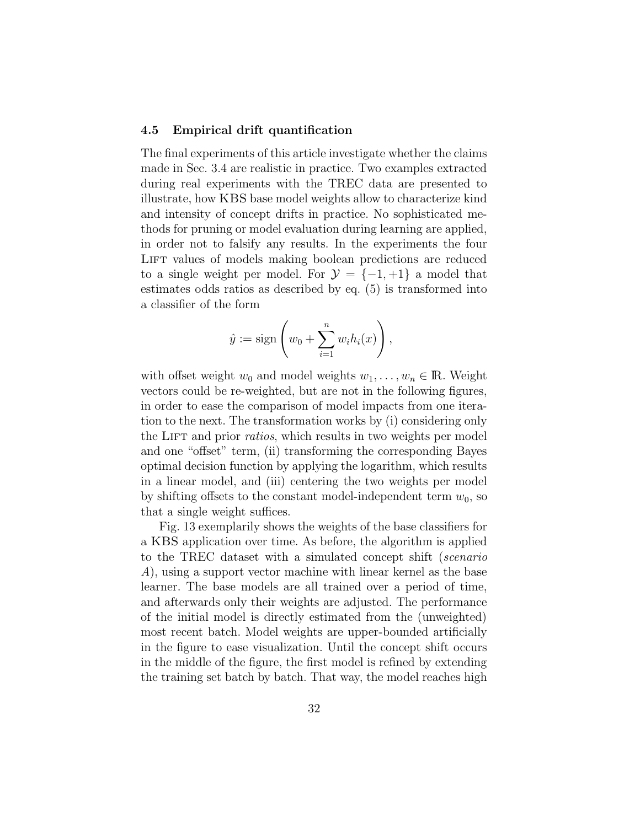#### 4.5 Empirical drift quantification

The final experiments of this article investigate whether the claims made in Sec. 3.4 are realistic in practice. Two examples extracted during real experiments with the TREC data are presented to illustrate, how KBS base model weights allow to characterize kind and intensity of concept drifts in practice. No sophisticated methods for pruning or model evaluation during learning are applied, in order not to falsify any results. In the experiments the four LIFT values of models making boolean predictions are reduced to a single weight per model. For  $\mathcal{Y} = \{-1, +1\}$  a model that estimates odds ratios as described by eq. (5) is transformed into a classifier of the form

$$
\hat{y} := \text{sign}\left(w_0 + \sum_{i=1}^n w_i h_i(x)\right),\,
$$

with offset weight  $w_0$  and model weights  $w_1, \ldots, w_n \in \mathbb{R}$ . Weight vectors could be re-weighted, but are not in the following figures, in order to ease the comparison of model impacts from one iteration to the next. The transformation works by (i) considering only the LIFT and prior *ratios*, which results in two weights per model and one "offset" term, (ii) transforming the corresponding Bayes optimal decision function by applying the logarithm, which results in a linear model, and (iii) centering the two weights per model by shifting offsets to the constant model-independent term  $w_0$ , so that a single weight suffices.

Fig. 13 exemplarily shows the weights of the base classifiers for a KBS application over time. As before, the algorithm is applied to the TREC dataset with a simulated concept shift (scenario A), using a support vector machine with linear kernel as the base learner. The base models are all trained over a period of time, and afterwards only their weights are adjusted. The performance of the initial model is directly estimated from the (unweighted) most recent batch. Model weights are upper-bounded artificially in the figure to ease visualization. Until the concept shift occurs in the middle of the figure, the first model is refined by extending the training set batch by batch. That way, the model reaches high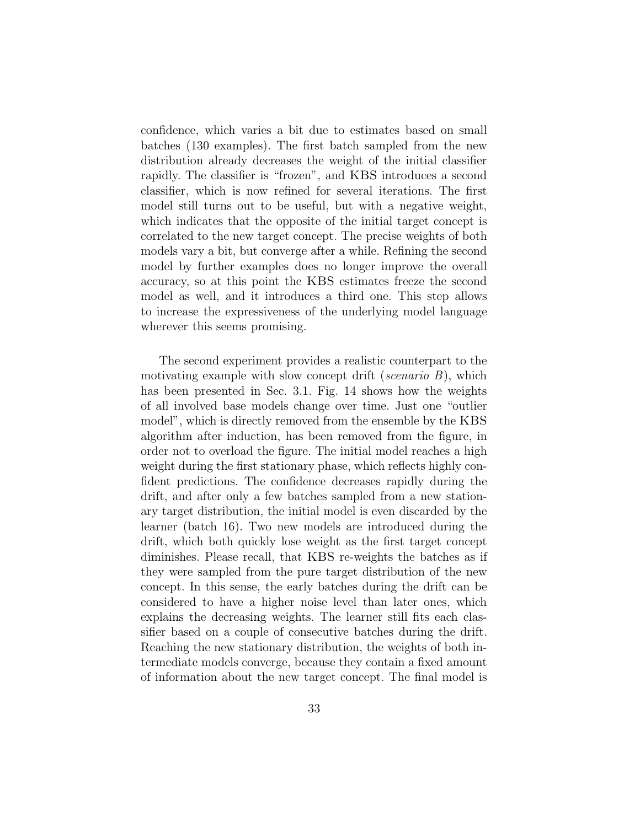confidence, which varies a bit due to estimates based on small batches (130 examples). The first batch sampled from the new distribution already decreases the weight of the initial classifier rapidly. The classifier is "frozen", and KBS introduces a second classifier, which is now refined for several iterations. The first model still turns out to be useful, but with a negative weight, which indicates that the opposite of the initial target concept is correlated to the new target concept. The precise weights of both models vary a bit, but converge after a while. Refining the second model by further examples does no longer improve the overall accuracy, so at this point the KBS estimates freeze the second model as well, and it introduces a third one. This step allows to increase the expressiveness of the underlying model language wherever this seems promising.

The second experiment provides a realistic counterpart to the motivating example with slow concept drift (scenario  $B$ ), which has been presented in Sec. 3.1. Fig. 14 shows how the weights of all involved base models change over time. Just one "outlier model", which is directly removed from the ensemble by the KBS algorithm after induction, has been removed from the figure, in order not to overload the figure. The initial model reaches a high weight during the first stationary phase, which reflects highly confident predictions. The confidence decreases rapidly during the drift, and after only a few batches sampled from a new stationary target distribution, the initial model is even discarded by the learner (batch 16). Two new models are introduced during the drift, which both quickly lose weight as the first target concept diminishes. Please recall, that KBS re-weights the batches as if they were sampled from the pure target distribution of the new concept. In this sense, the early batches during the drift can be considered to have a higher noise level than later ones, which explains the decreasing weights. The learner still fits each classifier based on a couple of consecutive batches during the drift. Reaching the new stationary distribution, the weights of both intermediate models converge, because they contain a fixed amount of information about the new target concept. The final model is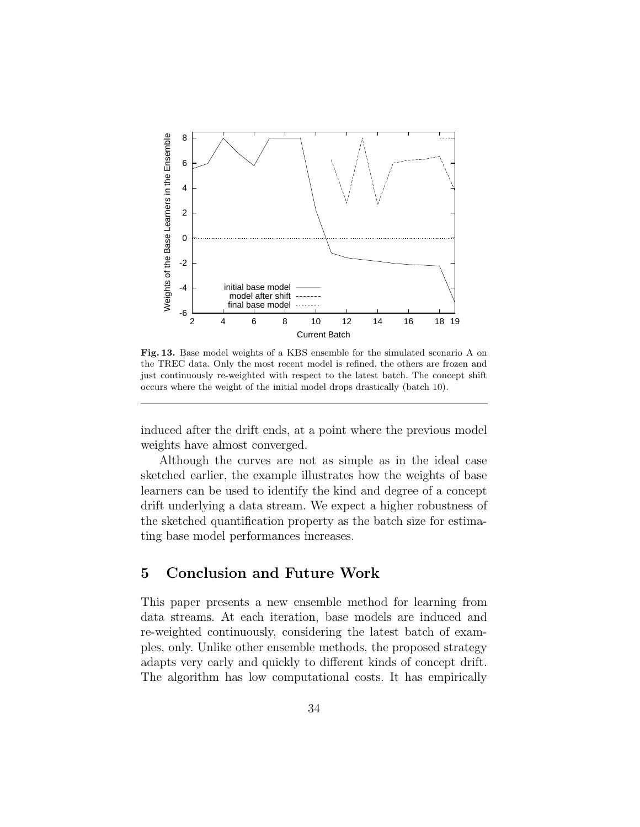

Fig. 13. Base model weights of a KBS ensemble for the simulated scenario A on the TREC data. Only the most recent model is refined, the others are frozen and just continuously re-weighted with respect to the latest batch. The concept shift occurs where the weight of the initial model drops drastically (batch 10).

induced after the drift ends, at a point where the previous model weights have almost converged.

Although the curves are not as simple as in the ideal case sketched earlier, the example illustrates how the weights of base learners can be used to identify the kind and degree of a concept drift underlying a data stream. We expect a higher robustness of the sketched quantification property as the batch size for estimating base model performances increases.

## 5 Conclusion and Future Work

This paper presents a new ensemble method for learning from data streams. At each iteration, base models are induced and re-weighted continuously, considering the latest batch of examples, only. Unlike other ensemble methods, the proposed strategy adapts very early and quickly to different kinds of concept drift. The algorithm has low computational costs. It has empirically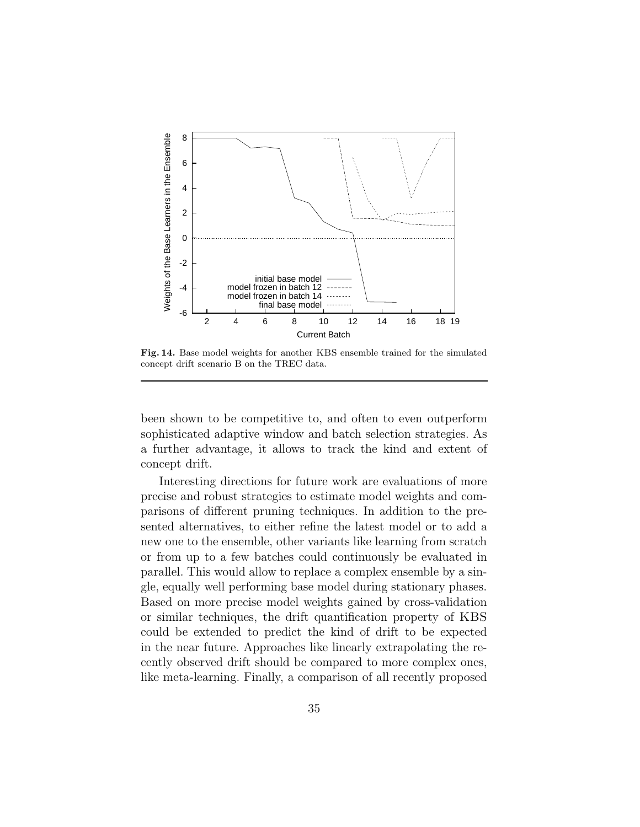

Fig. 14. Base model weights for another KBS ensemble trained for the simulated concept drift scenario B on the TREC data.

been shown to be competitive to, and often to even outperform sophisticated adaptive window and batch selection strategies. As a further advantage, it allows to track the kind and extent of concept drift.

Interesting directions for future work are evaluations of more precise and robust strategies to estimate model weights and comparisons of different pruning techniques. In addition to the presented alternatives, to either refine the latest model or to add a new one to the ensemble, other variants like learning from scratch or from up to a few batches could continuously be evaluated in parallel. This would allow to replace a complex ensemble by a single, equally well performing base model during stationary phases. Based on more precise model weights gained by cross-validation or similar techniques, the drift quantification property of KBS could be extended to predict the kind of drift to be expected in the near future. Approaches like linearly extrapolating the recently observed drift should be compared to more complex ones, like meta-learning. Finally, a comparison of all recently proposed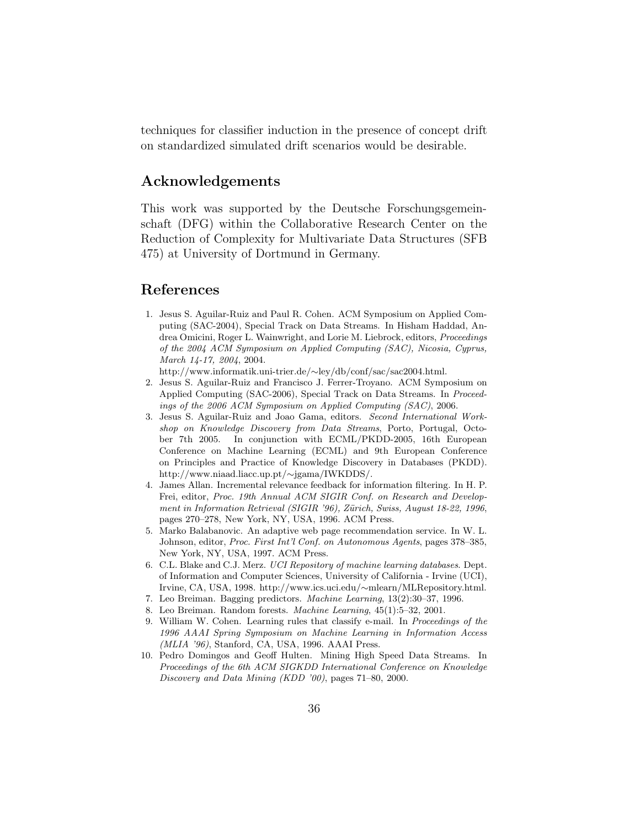techniques for classifier induction in the presence of concept drift on standardized simulated drift scenarios would be desirable.

## Acknowledgements

This work was supported by the Deutsche Forschungsgemeinschaft (DFG) within the Collaborative Research Center on the Reduction of Complexity for Multivariate Data Structures (SFB 475) at University of Dortmund in Germany.

## References

1. Jesus S. Aguilar-Ruiz and Paul R. Cohen. ACM Symposium on Applied Computing (SAC-2004), Special Track on Data Streams. In Hisham Haddad, Andrea Omicini, Roger L. Wainwright, and Lorie M. Liebrock, editors, Proceedings of the 2004 ACM Symposium on Applied Computing (SAC), Nicosia, Cyprus, March 14-17, 2004, 2004.

http://www.informatik.uni-trier.de/∼ley/db/conf/sac/sac2004.html.

- 2. Jesus S. Aguilar-Ruiz and Francisco J. Ferrer-Troyano. ACM Symposium on Applied Computing (SAC-2006), Special Track on Data Streams. In Proceedings of the 2006 ACM Symposium on Applied Computing (SAC), 2006.
- 3. Jesus S. Aguilar-Ruiz and Joao Gama, editors. Second International Workshop on Knowledge Discovery from Data Streams, Porto, Portugal, October 7th 2005. In conjunction with ECML/PKDD-2005, 16th European Conference on Machine Learning (ECML) and 9th European Conference on Principles and Practice of Knowledge Discovery in Databases (PKDD). http://www.niaad.liacc.up.pt/∼jgama/IWKDDS/.
- 4. James Allan. Incremental relevance feedback for information filtering. In H. P. Frei, editor, Proc. 19th Annual ACM SIGIR Conf. on Research and Development in Information Retrieval (SIGIR '96), Zürich, Swiss, August 18-22, 1996, pages 270–278, New York, NY, USA, 1996. ACM Press.
- 5. Marko Balabanovic. An adaptive web page recommendation service. In W. L. Johnson, editor, Proc. First Int'l Conf. on Autonomous Agents, pages 378–385, New York, NY, USA, 1997. ACM Press.
- 6. C.L. Blake and C.J. Merz. UCI Repository of machine learning databases. Dept. of Information and Computer Sciences, University of California - Irvine (UCI), Irvine, CA, USA, 1998. http://www.ics.uci.edu/∼mlearn/MLRepository.html.
- 7. Leo Breiman. Bagging predictors. Machine Learning, 13(2):30–37, 1996.
- 8. Leo Breiman. Random forests. Machine Learning, 45(1):5–32, 2001.
- 9. William W. Cohen. Learning rules that classify e-mail. In Proceedings of the 1996 AAAI Spring Symposium on Machine Learning in Information Access (MLIA '96), Stanford, CA, USA, 1996. AAAI Press.
- 10. Pedro Domingos and Geoff Hulten. Mining High Speed Data Streams. In Proceedings of the 6th ACM SIGKDD International Conference on Knowledge Discovery and Data Mining (KDD '00), pages 71–80, 2000.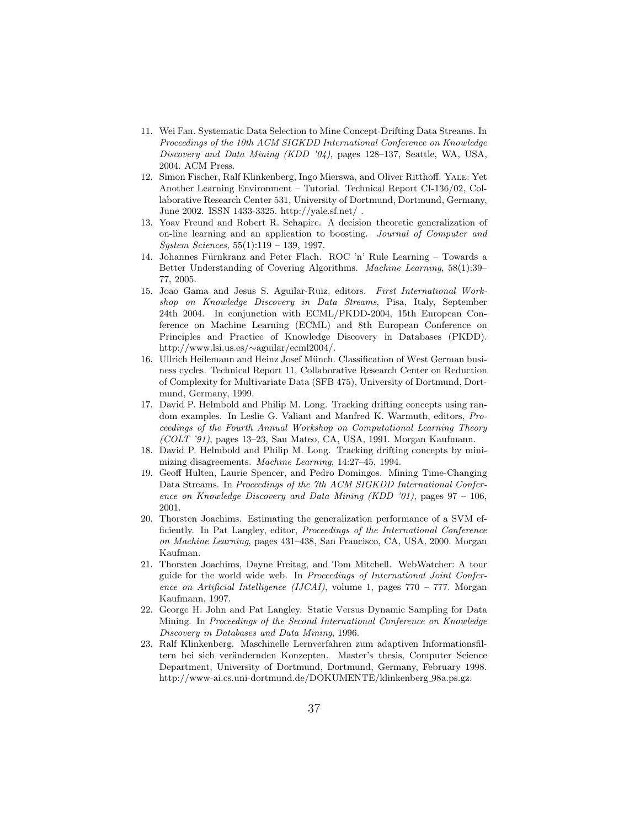- 11. Wei Fan. Systematic Data Selection to Mine Concept-Drifting Data Streams. In Proceedings of the 10th ACM SIGKDD International Conference on Knowledge Discovery and Data Mining (KDD '04), pages 128–137, Seattle, WA, USA, 2004. ACM Press.
- 12. Simon Fischer, Ralf Klinkenberg, Ingo Mierswa, and Oliver Ritthoff. Yale: Yet Another Learning Environment – Tutorial. Technical Report CI-136/02, Collaborative Research Center 531, University of Dortmund, Dortmund, Germany, June 2002. ISSN 1433-3325. http://yale.sf.net/ .
- 13. Yoav Freund and Robert R. Schapire. A decision–theoretic generalization of on-line learning and an application to boosting. Journal of Computer and System Sciences, 55(1):119 – 139, 1997.
- 14. Johannes Fürnkranz and Peter Flach. ROC 'n' Rule Learning Towards a Better Understanding of Covering Algorithms. Machine Learning, 58(1):39– 77, 2005.
- 15. Joao Gama and Jesus S. Aguilar-Ruiz, editors. First International Workshop on Knowledge Discovery in Data Streams, Pisa, Italy, September 24th 2004. In conjunction with ECML/PKDD-2004, 15th European Conference on Machine Learning (ECML) and 8th European Conference on Principles and Practice of Knowledge Discovery in Databases (PKDD). http://www.lsi.us.es/∼aguilar/ecml2004/.
- 16. Ullrich Heilemann and Heinz Josef Münch. Classification of West German business cycles. Technical Report 11, Collaborative Research Center on Reduction of Complexity for Multivariate Data (SFB 475), University of Dortmund, Dortmund, Germany, 1999.
- 17. David P. Helmbold and Philip M. Long. Tracking drifting concepts using random examples. In Leslie G. Valiant and Manfred K. Warmuth, editors, Proceedings of the Fourth Annual Workshop on Computational Learning Theory (COLT '91), pages 13–23, San Mateo, CA, USA, 1991. Morgan Kaufmann.
- 18. David P. Helmbold and Philip M. Long. Tracking drifting concepts by minimizing disagreements. Machine Learning, 14:27–45, 1994.
- 19. Geoff Hulten, Laurie Spencer, and Pedro Domingos. Mining Time-Changing Data Streams. In Proceedings of the 7th ACM SIGKDD International Conference on Knowledge Discovery and Data Mining (KDD '01), pages  $97 - 106$ . 2001.
- 20. Thorsten Joachims. Estimating the generalization performance of a SVM efficiently. In Pat Langley, editor, Proceedings of the International Conference on Machine Learning, pages 431–438, San Francisco, CA, USA, 2000. Morgan Kaufman.
- 21. Thorsten Joachims, Dayne Freitag, and Tom Mitchell. WebWatcher: A tour guide for the world wide web. In Proceedings of International Joint Conference on Artificial Intelligence (IJCAI), volume 1, pages  $770 - 777$ . Morgan Kaufmann, 1997.
- 22. George H. John and Pat Langley. Static Versus Dynamic Sampling for Data Mining. In Proceedings of the Second International Conference on Knowledge Discovery in Databases and Data Mining, 1996.
- 23. Ralf Klinkenberg. Maschinelle Lernverfahren zum adaptiven Informationsfiltern bei sich verändernden Konzepten. Master's thesis, Computer Science Department, University of Dortmund, Dortmund, Germany, February 1998. http://www-ai.cs.uni-dortmund.de/DOKUMENTE/klinkenberg 98a.ps.gz.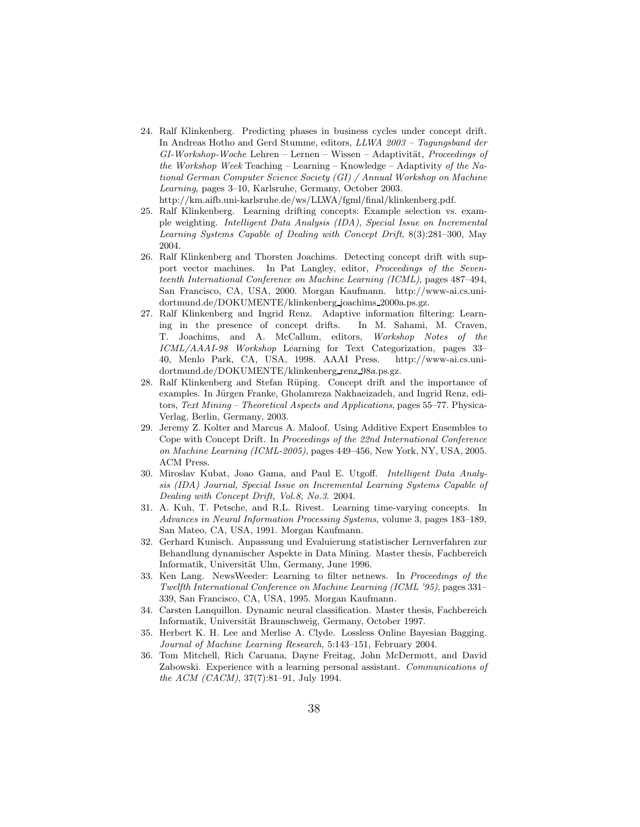- 24. Ralf Klinkenberg. Predicting phases in business cycles under concept drift. In Andreas Hotho and Gerd Stumme, editors, LLWA 2003 – Tagungsband der  $GI-Workshop-Woche$  Lehren – Lernen – Wissen – Adaptivität, Proceedings of the Workshop Week Teaching – Learning – Knowledge – Adaptivity of the National German Computer Science Society (GI) / Annual Workshop on Machine Learning, pages 3–10, Karlsruhe, Germany, October 2003. http://km.aifb.uni-karlsruhe.de/ws/LLWA/fgml/final/klinkenberg.pdf.
- 25. Ralf Klinkenberg. Learning drifting concepts: Example selection vs. example weighting. Intelligent Data Analysis (IDA), Special Issue on Incremental Learning Systems Capable of Dealing with Concept Drift, 8(3):281–300, May 2004.
- 26. Ralf Klinkenberg and Thorsten Joachims. Detecting concept drift with support vector machines. In Pat Langley, editor, Proceedings of the Seventeenth International Conference on Machine Learning (ICML), pages 487–494, San Francisco, CA, USA, 2000. Morgan Kaufmann. http://www-ai.cs.unidortmund.de/DOKUMENTE/klinkenberg joachims 2000a.ps.gz.
- 27. Ralf Klinkenberg and Ingrid Renz. Adaptive information filtering: Learning in the presence of concept drifts. In M. Sahami, M. Craven, T. Joachims, and A. McCallum, editors, Workshop Notes of the ICML/AAAI-98 Workshop Learning for Text Categorization, pages 33– 40, Menlo Park, CA, USA, 1998. AAAI Press. http://www-ai.cs.unidortmund.de/DOKUMENTE/klinkenberg renz 98a.ps.gz.
- 28. Ralf Klinkenberg and Stefan Rüping. Concept drift and the importance of examples. In Jürgen Franke, Gholamreza Nakhaeizadeh, and Ingrid Renz, editors, Text Mining – Theoretical Aspects and Applications, pages 55–77. Physica-Verlag, Berlin, Germany, 2003.
- 29. Jeremy Z. Kolter and Marcus A. Maloof. Using Additive Expert Ensembles to Cope with Concept Drift. In Proceedings of the 22nd International Conference on Machine Learning (ICML-2005), pages 449–456, New York, NY, USA, 2005. ACM Press.
- 30. Miroslav Kubat, Joao Gama, and Paul E. Utgoff. Intelligent Data Analysis (IDA) Journal, Special Issue on Incremental Learning Systems Capable of Dealing with Concept Drift, Vol.8, No.3. 2004.
- 31. A. Kuh, T. Petsche, and R.L. Rivest. Learning time-varying concepts. In Advances in Neural Information Processing Systems, volume 3, pages 183–189, San Mateo, CA, USA, 1991. Morgan Kaufmann.
- 32. Gerhard Kunisch. Anpassung und Evaluierung statistischer Lernverfahren zur Behandlung dynamischer Aspekte in Data Mining. Master thesis, Fachbereich Informatik, Universität Ulm, Germany, June 1996.
- 33. Ken Lang. NewsWeeder: Learning to filter netnews. In Proceedings of the Twelfth International Conference on Machine Learning (ICML '95), pages 331– 339, San Francisco, CA, USA, 1995. Morgan Kaufmann.
- 34. Carsten Lanquillon. Dynamic neural classification. Master thesis, Fachbereich Informatik, Universität Braunschweig, Germany, October 1997.
- 35. Herbert K. H. Lee and Merlise A. Clyde. Lossless Online Bayesian Bagging. Journal of Machine Learning Research, 5:143–151, February 2004.
- 36. Tom Mitchell, Rich Caruana, Dayne Freitag, John McDermott, and David Zabowski. Experience with a learning personal assistant. Communications of the ACM (CACM), 37(7):81–91, July 1994.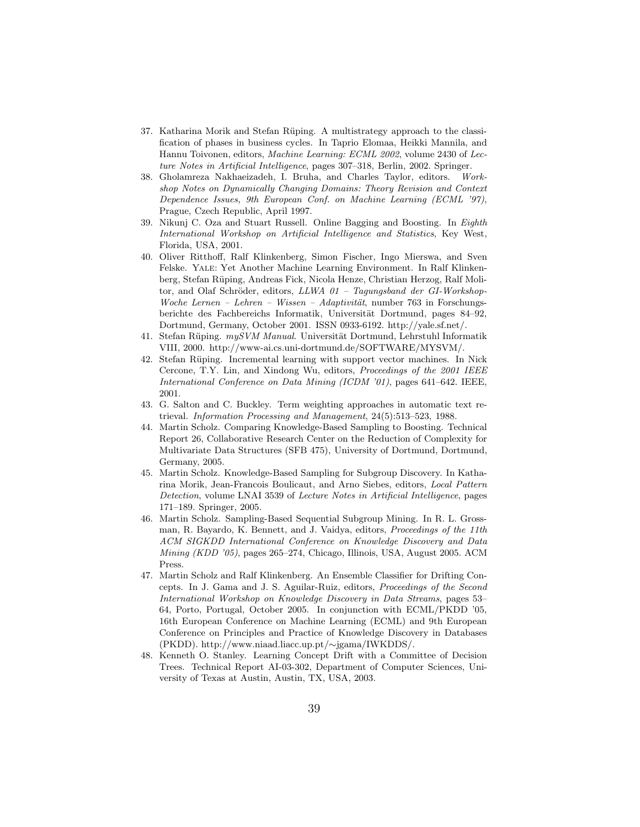- 37. Katharina Morik and Stefan Rüping. A multistrategy approach to the classification of phases in business cycles. In Taprio Elomaa, Heikki Mannila, and Hannu Toivonen, editors, Machine Learning: ECML 2002, volume 2430 of Lecture Notes in Artificial Intelligence, pages 307–318, Berlin, 2002. Springer.
- 38. Gholamreza Nakhaeizadeh, I. Bruha, and Charles Taylor, editors. Workshop Notes on Dynamically Changing Domains: Theory Revision and Context Dependence Issues, 9th European Conf. on Machine Learning (ECML '97), Prague, Czech Republic, April 1997.
- 39. Nikunj C. Oza and Stuart Russell. Online Bagging and Boosting. In Eighth International Workshop on Artificial Intelligence and Statistics, Key West, Florida, USA, 2001.
- 40. Oliver Ritthoff, Ralf Klinkenberg, Simon Fischer, Ingo Mierswa, and Sven Felske. Yale: Yet Another Machine Learning Environment. In Ralf Klinkenberg, Stefan Rüping, Andreas Fick, Nicola Henze, Christian Herzog, Ralf Molitor, and Olaf Schröder, editors,  $LLWA$   $01 - Tagungsband$  der GI-Workshop-Woche Lernen – Lehren – Wissen – Adaptivität, number 763 in Forschungsberichte des Fachbereichs Informatik, Universität Dortmund, pages 84–92, Dortmund, Germany, October 2001. ISSN 0933-6192. http://yale.sf.net/.
- 41. Stefan Rüping.  $mySVM$  Manual. Universität Dortmund, Lehrstuhl Informatik VIII, 2000. http://www-ai.cs.uni-dortmund.de/SOFTWARE/MYSVM/.
- 42. Stefan Rüping. Incremental learning with support vector machines. In Nick Cercone, T.Y. Lin, and Xindong Wu, editors, Proceedings of the 2001 IEEE International Conference on Data Mining (ICDM '01), pages 641–642. IEEE, 2001.
- 43. G. Salton and C. Buckley. Term weighting approaches in automatic text retrieval. Information Processing and Management, 24(5):513–523, 1988.
- 44. Martin Scholz. Comparing Knowledge-Based Sampling to Boosting. Technical Report 26, Collaborative Research Center on the Reduction of Complexity for Multivariate Data Structures (SFB 475), University of Dortmund, Dortmund, Germany, 2005.
- 45. Martin Scholz. Knowledge-Based Sampling for Subgroup Discovery. In Katharina Morik, Jean-Francois Boulicaut, and Arno Siebes, editors, Local Pattern Detection, volume LNAI 3539 of Lecture Notes in Artificial Intelligence, pages 171–189. Springer, 2005.
- 46. Martin Scholz. Sampling-Based Sequential Subgroup Mining. In R. L. Grossman, R. Bayardo, K. Bennett, and J. Vaidya, editors, Proceedings of the 11th ACM SIGKDD International Conference on Knowledge Discovery and Data Mining (KDD '05), pages 265–274, Chicago, Illinois, USA, August 2005. ACM Press.
- 47. Martin Scholz and Ralf Klinkenberg. An Ensemble Classifier for Drifting Concepts. In J. Gama and J. S. Aguilar-Ruiz, editors, Proceedings of the Second International Workshop on Knowledge Discovery in Data Streams, pages 53– 64, Porto, Portugal, October 2005. In conjunction with ECML/PKDD '05, 16th European Conference on Machine Learning (ECML) and 9th European Conference on Principles and Practice of Knowledge Discovery in Databases (PKDD). http://www.niaad.liacc.up.pt/∼jgama/IWKDDS/.
- 48. Kenneth O. Stanley. Learning Concept Drift with a Committee of Decision Trees. Technical Report AI-03-302, Department of Computer Sciences, University of Texas at Austin, Austin, TX, USA, 2003.